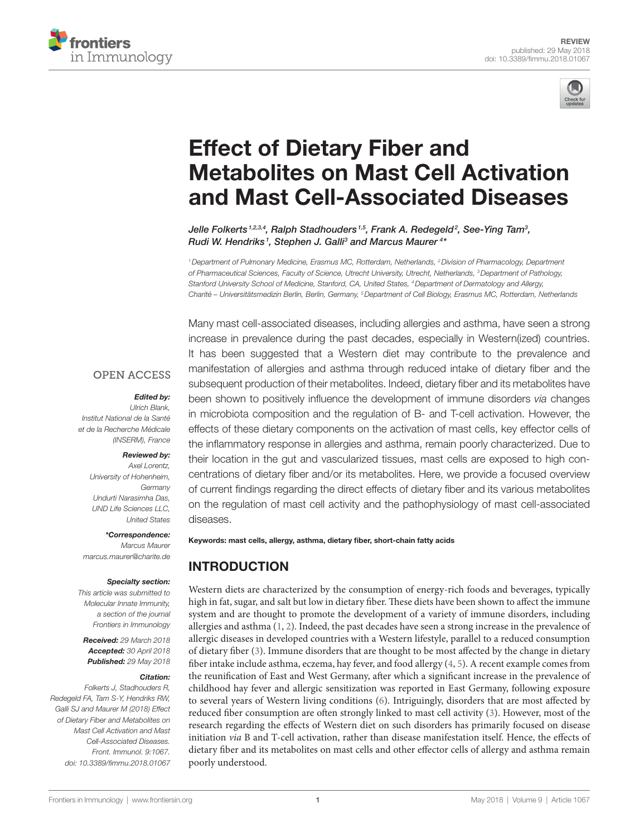



# **Effect of Dietary Fiber and Metabolites on Mast Cell Activation** and Mast Cell-Associated Diseases

*[Jelle Folkerts](https://loop.frontiersin.org/people/497961) 1,2,3,4, [Ralph Stadhouders](https://loop.frontiersin.org/people/284541) 1,5, [Frank A. Redegeld2](https://loop.frontiersin.org/people/25728) , [See-Ying Tam](https://loop.frontiersin.org/people/558996)3 , [Rudi W. Hendriks](https://loop.frontiersin.org/people/121010) <sup>1</sup> , Stephen J. Galli3 and [Marcus Maurer](https://loop.frontiersin.org/people/424773) <sup>4</sup> \**

*1Department of Pulmonary Medicine, Erasmus MC, Rotterdam, Netherlands, 2Division of Pharmacology, Department of Pharmaceutical Sciences, Faculty of Science, Utrecht University, Utrecht, Netherlands, 3Department of Pathology, Stanford University School of Medicine, Stanford, CA, United States, 4Department of Dermatology and Allergy, Charité – Universitätsmedizin Berlin, Berlin, Germany, 5Department of Cell Biology, Erasmus MC, Rotterdam, Netherlands*

Many mast cell-associated diseases, including allergies and asthma, have seen a strong

increase in prevalence during the past decades, especially in Western(ized) countries. It has been suggested that a Western diet may contribute to the prevalence and manifestation of allergies and asthma through reduced intake of dietary fiber and the subsequent production of their metabolites. Indeed, dietary fiber and its metabolites have been shown to positively influence the development of immune disorders *via* changes in microbiota composition and the regulation of B- and T-cell activation. However, the effects of these dietary components on the activation of mast cells, key effector cells of the inflammatory response in allergies and asthma, remain poorly characterized. Due to their location in the gut and vascularized tissues, mast cells are exposed to high concentrations of dietary fiber and/or its metabolites. Here, we provide a focused overview of current findings regarding the direct effects of dietary fiber and its various metabolites on the regulation of mast cell activity and the pathophysiology of mast cell-associated diseases.

#### **OPEN ACCESS**

#### *Edited by:*

*Ulrich Blank, Institut National de la Santé et de la Recherche Médicale (INSERM), France*

#### *Reviewed by:*

*Axel Lorentz, University of Hohenheim, Germany Undurti Narasimha Das, UND Life Sciences LLC, United States*

#### *\*Correspondence:*

*Marcus Maurer [marcus.maurer@charite.de](mailto:marcus.maurer@charite.de)*

#### *Specialty section:*

*This article was submitted to Molecular Innate Immunity, a section of the journal Frontiers in Immunology*

*Received: 29 March 2018 Accepted: 30 April 2018 Published: 29 May 2018*

#### *Citation:*

*Folkerts J, Stadhouders R, Redegeld FA, Tam S-Y, Hendriks RW, Galli SJ and Maurer M (2018) Effect of Dietary Fiber and Metabolites on Mast Cell Activation and Mast Cell-Associated Diseases. Front. Immunol. 9:1067. doi: [10.3389/fimmu.2018.01067](https://doi.org/10.3389/fimmu.2018.01067)*

Keywords: mast cells, allergy, asthma, dietary fiber, short-chain fatty acids

# INTRODUCTION

Western diets are characterized by the consumption of energy-rich foods and beverages, typically high in fat, sugar, and salt but low in dietary fiber. These diets have been shown to affect the immune system and are thought to promote the development of a variety of immune disorders, including allergies and asthma ([1](#page-8-0), [2](#page-8-1)). Indeed, the past decades have seen a strong increase in the prevalence of allergic diseases in developed countries with a Western lifestyle, parallel to a reduced consumption of dietary fiber [\(3](#page-8-2)). Immune disorders that are thought to be most affected by the change in dietary fiber intake include asthma, eczema, hay fever, and food allergy ([4](#page-8-3), [5\)](#page-8-4). A recent example comes from the reunification of East and West Germany, after which a significant increase in the prevalence of childhood hay fever and allergic sensitization was reported in East Germany, following exposure to several years of Western living conditions [\(6\)](#page-8-5). Intriguingly, disorders that are most affected by reduced fiber consumption are often strongly linked to mast cell activity [\(3\)](#page-8-2). However, most of the research regarding the effects of Western diet on such disorders has primarily focused on disease initiation *via* B and T-cell activation, rather than disease manifestation itself. Hence, the effects of dietary fiber and its metabolites on mast cells and other effector cells of allergy and asthma remain poorly understood.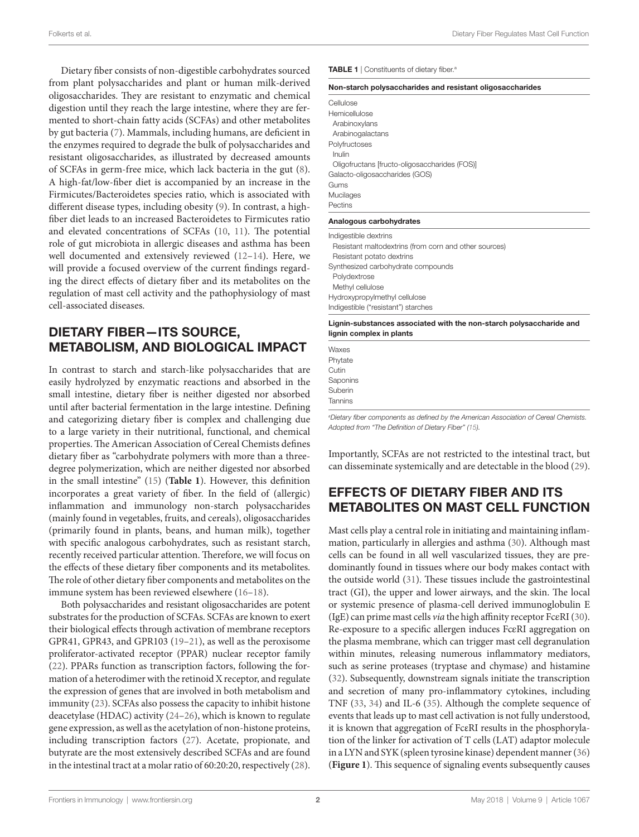Folkerts et al. Dietary Fiber Regulates Mast Cell Function

Dietary fiber consists of non-digestible carbohydrates sourced from plant polysaccharides and plant or human milk-derived oligosaccharides. They are resistant to enzymatic and chemical digestion until they reach the large intestine, where they are fermented to short-chain fatty acids (SCFAs) and other metabolites by gut bacteria [\(7\)](#page-8-7). Mammals, including humans, are deficient in the enzymes required to degrade the bulk of polysaccharides and resistant oligosaccharides, as illustrated by decreased amounts of SCFAs in germ-free mice, which lack bacteria in the gut [\(8\)](#page-8-8). A high-fat/low-fiber diet is accompanied by an increase in the Firmicutes/Bacteroidetes species ratio, which is associated with different disease types, including obesity [\(9\)](#page-8-9). In contrast, a highfiber diet leads to an increased Bacteroidetes to Firmicutes ratio and elevated concentrations of SCFAs ([10](#page-8-10), [11](#page-8-11)). The potential role of gut microbiota in allergic diseases and asthma has been well documented and extensively reviewed [\(12–](#page-8-12)[14\)](#page-8-13). Here, we will provide a focused overview of the current findings regarding the direct effects of dietary fiber and its metabolites on the regulation of mast cell activity and the pathophysiology of mast cell-associated diseases.

## DIETARY FIBER—ITS SOURCE, METABOLISM, AND BIOLOGICAL IMPACT

In contrast to starch and starch-like polysaccharides that are easily hydrolyzed by enzymatic reactions and absorbed in the small intestine, dietary fiber is neither digested nor absorbed until after bacterial fermentation in the large intestine. Defining and categorizing dietary fiber is complex and challenging due to a large variety in their nutritional, functional, and chemical properties. The American Association of Cereal Chemists defines dietary fiber as "carbohydrate polymers with more than a threedegree polymerization, which are neither digested nor absorbed in the small intestine" [\(15](#page-8-6)) (**[Table 1](#page-1-0)**). However, this definition incorporates a great variety of fiber. In the field of (allergic) inflammation and immunology non-starch polysaccharides (mainly found in vegetables, fruits, and cereals), oligosaccharides (primarily found in plants, beans, and human milk), together with specific analogous carbohydrates, such as resistant starch, recently received particular attention. Therefore, we will focus on the effects of these dietary fiber components and its metabolites. The role of other dietary fiber components and metabolites on the immune system has been reviewed elsewhere ([16–](#page-8-14)[18](#page-9-0)).

Both polysaccharides and resistant oligosaccharides are potent substrates for the production of SCFAs. SCFAs are known to exert their biological effects through activation of membrane receptors GPR41, GPR43, and GPR103 [\(19](#page-9-1)[–21](#page-9-2)), as well as the peroxisome proliferator-activated receptor (PPAR) nuclear receptor family ([22\)](#page-9-3). PPARs function as transcription factors, following the formation of a heterodimer with the retinoid X receptor, and regulate the expression of genes that are involved in both metabolism and immunity [\(23](#page-9-4)). SCFAs also possess the capacity to inhibit histone deacetylase (HDAC) activity ([24–](#page-9-5)[26\)](#page-9-6), which is known to regulate gene expression, as well as the acetylation of non-histone proteins, including transcription factors [\(27](#page-9-7)). Acetate, propionate, and butyrate are the most extensively described SCFAs and are found in the intestinal tract at a molar ratio of 60:20:20, respectively ([28\)](#page-9-8). <span id="page-1-0"></span>TABLE 1 | Constituents of dietary fiber.

| Non-starch polysaccharides and resistant oligosaccharides |  |
|-----------------------------------------------------------|--|
| Cellulose                                                 |  |
| Hemicellulose                                             |  |
| Arabinoxylans                                             |  |
| Arabinogalactans                                          |  |
| Polyfructoses                                             |  |
| Inulin                                                    |  |
| Oligofructans [fructo-oligosaccharides (FOS)]             |  |
| Galacto-oligosaccharides (GOS)                            |  |
| Gums                                                      |  |
| Mucilages                                                 |  |
| Pectins                                                   |  |
| Analogous carbohydrates                                   |  |
| Indigestible dextrins                                     |  |
| Resistant maltodextrins (from corn and other sources)     |  |
| Resistant potato dextrins                                 |  |
| Synthesized carbohydrate compounds                        |  |
| Polydextrose                                              |  |
| Methyl cellulose                                          |  |
| Hydroxypropylmethyl cellulose                             |  |
| Indigestible ("resistant") starches                       |  |
|                                                           |  |

Lignin-substances associated with the non-starch polysaccharide and lignin complex in plants

Waxes Phytate Cutin Saponins Suberin Tannins

*a Dietary fiber components as defined by the American Association of Cereal Chemists. Adopted from "The Definition of Dietary Fiber" ([15](#page-8-6)).*

Importantly, SCFAs are not restricted to the intestinal tract, but can disseminate systemically and are detectable in the blood [\(29](#page-9-9)).

# EFFECTS OF DIETARY FIBER AND ITS METABOLITES ON MAST CELL FUNCTION

Mast cells play a central role in initiating and maintaining inflammation, particularly in allergies and asthma ([30\)](#page-9-10). Although mast cells can be found in all well vascularized tissues, they are predominantly found in tissues where our body makes contact with the outside world ([31\)](#page-9-11). These tissues include the gastrointestinal tract (GI), the upper and lower airways, and the skin. The local or systemic presence of plasma-cell derived immunoglobulin E (IgE) can prime mast cells *via* the high affinity receptor FcεRI [\(30\)](#page-9-10). Re-exposure to a specific allergen induces FcεRI aggregation on the plasma membrane, which can trigger mast cell degranulation within minutes, releasing numerous inflammatory mediators, such as serine proteases (tryptase and chymase) and histamine [\(32](#page-9-12)). Subsequently, downstream signals initiate the transcription and secretion of many pro-inflammatory cytokines, including TNF ([33,](#page-9-13) [34\)](#page-9-14) and IL-6 ([35\)](#page-9-15). Although the complete sequence of events that leads up to mast cell activation is not fully understood, it is known that aggregation of FcεRI results in the phosphorylation of the linker for activation of T cells (LAT) adaptor molecule in a LYN and SYK (spleen tyrosine kinase) dependent manner ([36\)](#page-9-16) (**[Figure 1](#page-2-0)**). This sequence of signaling events subsequently causes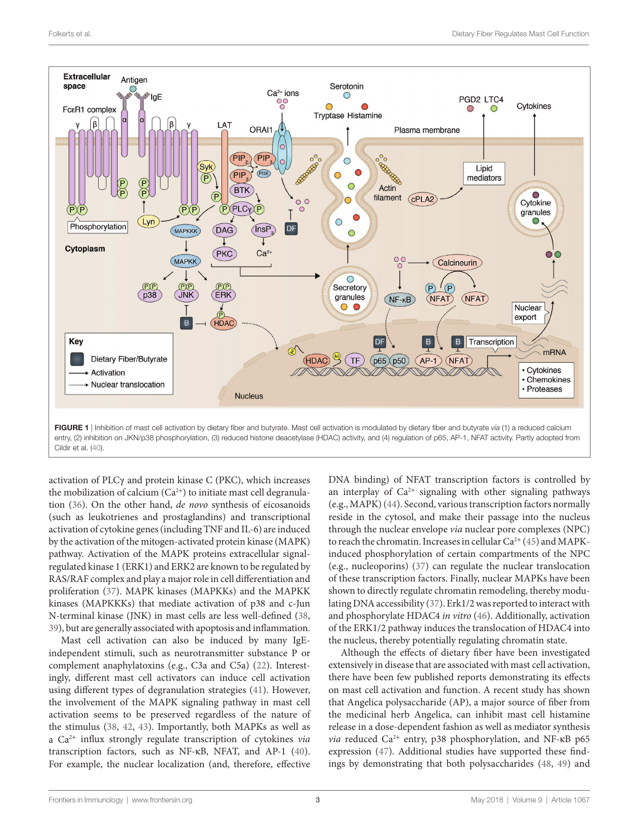

<span id="page-2-0"></span>entry, (2) inhibition on JKN/p38 phosphorylation, (3) reduced histone deacetylase (HDAC) activity, and (4) regulation of p65, AP-1, NFAT activity. Partly adopted from Cildir et al. ([40\)](#page-9-17).

activation of PLCγ and protein kinase C (PKC), which increases the mobilization of calcium  $(Ca^{2+})$  to initiate mast cell degranulation [\(36](#page-9-16)). On the other hand, *de novo* synthesis of eicosanoids (such as leukotrienes and prostaglandins) and transcriptional activation of cytokine genes (including TNF and IL-6) are induced by the activation of the mitogen-activated protein kinase (MAPK) pathway. Activation of the MAPK proteins extracellular signalregulated kinase 1 (ERK1) and ERK2 are known to be regulated by RAS/RAF complex and play a major role in cell differentiation and proliferation [\(37](#page-9-18)). MAPK kinases (MAPKKs) and the MAPKK kinases (MAPKKKs) that mediate activation of p38 and c-Jun N-terminal kinase (JNK) in mast cells are less well-defined ([38,](#page-9-19) [39](#page-9-20)), but are generally associated with apoptosis and inflammation.

Mast cell activation can also be induced by many IgEindependent stimuli, such as neurotransmitter substance P or complement anaphylatoxins (e.g., C3a and C5a) [\(22](#page-9-3)). Interestingly, different mast cell activators can induce cell activation using different types of degranulation strategies ([41\)](#page-9-21). However, the involvement of the MAPK signaling pathway in mast cell activation seems to be preserved regardless of the nature of the stimulus ([38,](#page-9-19) [42](#page-9-22), [43](#page-9-23)). Importantly, both MAPKs as well as a Ca2<sup>+</sup> influx strongly regulate transcription of cytokines *via* transcription factors, such as NF-κB, NFAT, and AP-1 ([40\)](#page-9-17). For example, the nuclear localization (and, therefore, effective

DNA binding) of NFAT transcription factors is controlled by an interplay of  $Ca^{2+}$  signaling with other signaling pathways (e.g., MAPK) ([44\)](#page-9-24). Second, various transcription factors normally reside in the cytosol, and make their passage into the nucleus through the nuclear envelope *via* nuclear pore complexes (NPC) to reach the chromatin. Increases in cellular  $Ca^{2+}(45)$  $Ca^{2+}(45)$  $Ca^{2+}(45)$  and MAPKinduced phosphorylation of certain compartments of the NPC (e.g., nucleoporins) [\(37](#page-9-18)) can regulate the nuclear translocation of these transcription factors. Finally, nuclear MAPKs have been shown to directly regulate chromatin remodeling, thereby modulating DNA accessibility [\(37](#page-9-18)). Erk1/2 was reported to interact with and phosphorylate HDAC4 *in vitro* ([46\)](#page-9-26). Additionally, activation of the ERK1/2 pathway induces the translocation of HDAC4 into the nucleus, thereby potentially regulating chromatin state.

Although the effects of dietary fiber have been investigated extensively in disease that are associated with mast cell activation, there have been few published reports demonstrating its effects on mast cell activation and function. A recent study has shown that Angelica polysaccharide (AP), a major source of fiber from the medicinal herb Angelica, can inhibit mast cell histamine release in a dose-dependent fashion as well as mediator synthesis *via* reduced Ca2<sup>+</sup> entry, p38 phosphorylation, and NF-κB p65 expression [\(47](#page-9-27)). Additional studies have supported these findings by demonstrating that both polysaccharides ([48,](#page-9-28) [49\)](#page-9-29) and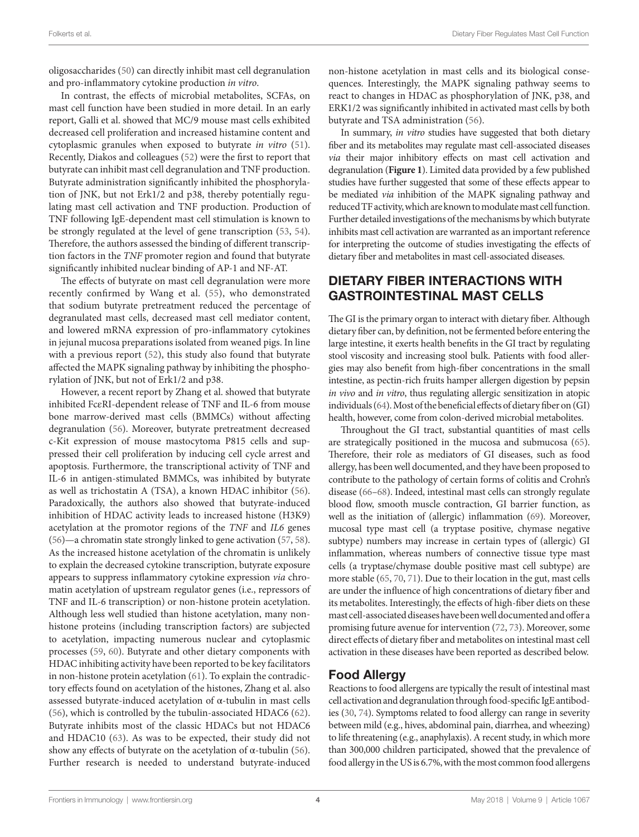oligosaccharides [\(50](#page-9-30)) can directly inhibit mast cell degranulation and pro-inflammatory cytokine production *in vitro*.

In contrast, the effects of microbial metabolites, SCFAs, on mast cell function have been studied in more detail. In an early report, Galli et al. showed that MC/9 mouse mast cells exhibited decreased cell proliferation and increased histamine content and cytoplasmic granules when exposed to butyrate *in vitro* ([51\)](#page-9-31). Recently, Diakos and colleagues ([52](#page-9-32)) were the first to report that butyrate can inhibit mast cell degranulation and TNF production. Butyrate administration significantly inhibited the phosphorylation of JNK, but not Erk1/2 and p38, thereby potentially regulating mast cell activation and TNF production. Production of TNF following IgE-dependent mast cell stimulation is known to be strongly regulated at the level of gene transcription [\(53,](#page-9-33) [54\)](#page-9-34). Therefore, the authors assessed the binding of different transcription factors in the *TNF* promoter region and found that butyrate significantly inhibited nuclear binding of AP-1 and NF-AT.

The effects of butyrate on mast cell degranulation were more recently confirmed by Wang et al. ([55\)](#page-9-35), who demonstrated that sodium butyrate pretreatment reduced the percentage of degranulated mast cells, decreased mast cell mediator content, and lowered mRNA expression of pro-inflammatory cytokines in jejunal mucosa preparations isolated from weaned pigs. In line with a previous report [\(52](#page-9-32)), this study also found that butyrate affected the MAPK signaling pathway by inhibiting the phosphorylation of JNK, but not of Erk1/2 and p38.

However, a recent report by Zhang et al. showed that butyrate inhibited FcεRI-dependent release of TNF and IL-6 from mouse bone marrow-derived mast cells (BMMCs) without affecting degranulation ([56](#page-9-36)). Moreover, butyrate pretreatment decreased c-Kit expression of mouse mastocytoma P815 cells and suppressed their cell proliferation by inducing cell cycle arrest and apoptosis. Furthermore, the transcriptional activity of TNF and IL-6 in antigen-stimulated BMMCs, was inhibited by butyrate as well as trichostatin A (TSA), a known HDAC inhibitor ([56\)](#page-9-36). Paradoxically, the authors also showed that butyrate-induced inhibition of HDAC activity leads to increased histone (H3K9) acetylation at the promotor regions of the *TNF* and *IL6* genes ([56](#page-9-36))—a chromatin state strongly linked to gene activation [\(57,](#page-9-37) [58\)](#page-9-38). As the increased histone acetylation of the chromatin is unlikely to explain the decreased cytokine transcription, butyrate exposure appears to suppress inflammatory cytokine expression *via* chromatin acetylation of upstream regulator genes (i.e., repressors of TNF and IL-6 transcription) or non-histone protein acetylation. Although less well studied than histone acetylation, many nonhistone proteins (including transcription factors) are subjected to acetylation, impacting numerous nuclear and cytoplasmic processes [\(59](#page-10-0), [60](#page-10-1)). Butyrate and other dietary components with HDAC inhibiting activity have been reported to be key facilitators in non-histone protein acetylation ([61\)](#page-10-2). To explain the contradictory effects found on acetylation of the histones, Zhang et al. also assessed butyrate-induced acetylation of α-tubulin in mast cells ([56\)](#page-9-36), which is controlled by the tubulin-associated HDAC6 ([62\)](#page-10-3). Butyrate inhibits most of the classic HDACs but not HDAC6 and HDAC10 [\(63](#page-10-4)). As was to be expected, their study did not show any effects of butyrate on the acetylation of  $\alpha$ -tubulin ([56\)](#page-9-36). Further research is needed to understand butyrate-induced

non-histone acetylation in mast cells and its biological consequences. Interestingly, the MAPK signaling pathway seems to react to changes in HDAC as phosphorylation of JNK, p38, and ERK1/2 was significantly inhibited in activated mast cells by both butyrate and TSA administration ([56](#page-9-36)).

In summary, *in vitro* studies have suggested that both dietary fiber and its metabolites may regulate mast cell-associated diseases *via* their major inhibitory effects on mast cell activation and degranulation (**[Figure 1](#page-2-0)**). Limited data provided by a few published studies have further suggested that some of these effects appear to be mediated *via* inhibition of the MAPK signaling pathway and reduced TF activity, which are known to modulate mast cell function. Further detailed investigations of the mechanisms by which butyrate inhibits mast cell activation are warranted as an important reference for interpreting the outcome of studies investigating the effects of dietary fiber and metabolites in mast cell-associated diseases.

## DIETARY FIBER INTERACTIONS WITH GASTROINTESTINAL MAST CELLS

The GI is the primary organ to interact with dietary fiber. Although dietary fiber can, by definition, not be fermented before entering the large intestine, it exerts health benefits in the GI tract by regulating stool viscosity and increasing stool bulk. Patients with food allergies may also benefit from high-fiber concentrations in the small intestine, as pectin-rich fruits hamper allergen digestion by pepsin *in vivo* and *in vitro*, thus regulating allergic sensitization in atopic individuals [\(64\)](#page-10-5). Most of the beneficial effects of dietary fiber on (GI) health, however, come from colon-derived microbial metabolites.

Throughout the GI tract, substantial quantities of mast cells are strategically positioned in the mucosa and submucosa ([65\)](#page-10-6). Therefore, their role as mediators of GI diseases, such as food allergy, has been well documented, and they have been proposed to contribute to the pathology of certain forms of colitis and Crohn's disease ([66–](#page-10-7)[68\)](#page-10-8). Indeed, intestinal mast cells can strongly regulate blood flow, smooth muscle contraction, GI barrier function, as well as the initiation of (allergic) inflammation [\(69](#page-10-9)). Moreover, mucosal type mast cell (a tryptase positive, chymase negative subtype) numbers may increase in certain types of (allergic) GI inflammation, whereas numbers of connective tissue type mast cells (a tryptase/chymase double positive mast cell subtype) are more stable [\(65,](#page-10-6) [70,](#page-10-10) [71\)](#page-10-11). Due to their location in the gut, mast cells are under the influence of high concentrations of dietary fiber and its metabolites. Interestingly, the effects of high-fiber diets on these mast cell-associated diseases have been well documented and offer a promising future avenue for intervention ([72,](#page-10-12) [73](#page-10-13)). Moreover, some direct effects of dietary fiber and metabolites on intestinal mast cell activation in these diseases have been reported as described below.

### Food Allergy

Reactions to food allergens are typically the result of intestinal mast cell activation and degranulation through food-specific IgE antibodies [\(30,](#page-9-10) [74](#page-10-14)). Symptoms related to food allergy can range in severity between mild (e.g., hives, abdominal pain, diarrhea, and wheezing) to life threatening (e.g., anaphylaxis). A recent study, in which more than 300,000 children participated, showed that the prevalence of food allergy in the US is 6.7%, with the most common food allergens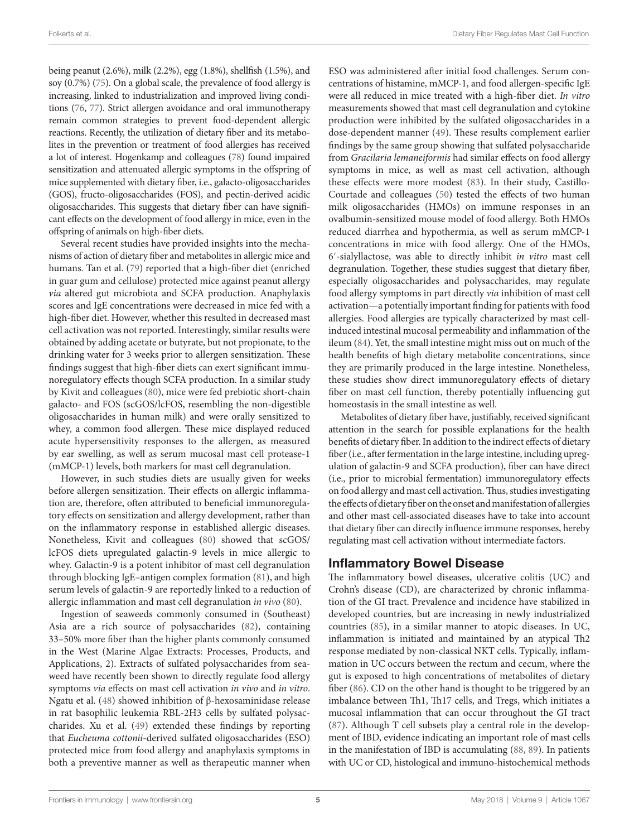being peanut (2.6%), milk (2.2%), egg (1.8%), shellfish (1.5%), and soy (0.7%) [\(75](#page-10-15)). On a global scale, the prevalence of food allergy is increasing, linked to industrialization and improved living conditions ([76](#page-10-16), [77](#page-10-17)). Strict allergen avoidance and oral immunotherapy remain common strategies to prevent food-dependent allergic reactions. Recently, the utilization of dietary fiber and its metabolites in the prevention or treatment of food allergies has received a lot of interest. Hogenkamp and colleagues [\(78\)](#page-10-18) found impaired sensitization and attenuated allergic symptoms in the offspring of mice supplemented with dietary fiber, i.e., galacto-oligosaccharides (GOS), fructo-oligosaccharides (FOS), and pectin-derived acidic oligosaccharides. This suggests that dietary fiber can have significant effects on the development of food allergy in mice, even in the offspring of animals on high-fiber diets.

Several recent studies have provided insights into the mechanisms of action of dietary fiber and metabolites in allergic mice and humans. Tan et al. ([79](#page-10-19)) reported that a high-fiber diet (enriched in guar gum and cellulose) protected mice against peanut allergy *via* altered gut microbiota and SCFA production. Anaphylaxis scores and IgE concentrations were decreased in mice fed with a high-fiber diet. However, whether this resulted in decreased mast cell activation was not reported. Interestingly, similar results were obtained by adding acetate or butyrate, but not propionate, to the drinking water for 3 weeks prior to allergen sensitization. These findings suggest that high-fiber diets can exert significant immunoregulatory effects though SCFA production. In a similar study by Kivit and colleagues ([80](#page-10-20)), mice were fed prebiotic short-chain galacto- and FOS (scGOS/lcFOS, resembling the non-digestible oligosaccharides in human milk) and were orally sensitized to whey, a common food allergen. These mice displayed reduced acute hypersensitivity responses to the allergen, as measured by ear swelling, as well as serum mucosal mast cell protease-1 (mMCP-1) levels, both markers for mast cell degranulation.

However, in such studies diets are usually given for weeks before allergen sensitization. Their effects on allergic inflammation are, therefore, often attributed to beneficial immunoregulatory effects on sensitization and allergy development, rather than on the inflammatory response in established allergic diseases. Nonetheless, Kivit and colleagues ([80\)](#page-10-20) showed that scGOS/ lcFOS diets upregulated galactin-9 levels in mice allergic to whey. Galactin-9 is a potent inhibitor of mast cell degranulation through blocking IgE–antigen complex formation ([81](#page-10-21)), and high serum levels of galactin-9 are reportedly linked to a reduction of allergic inflammation and mast cell degranulation *in vivo* ([80\)](#page-10-20).

Ingestion of seaweeds commonly consumed in (Southeast) Asia are a rich source of polysaccharides [\(82](#page-10-22)), containing 33–50% more fiber than the higher plants commonly consumed in the West (Marine Algae Extracts: Processes, Products, and Applications, 2). Extracts of sulfated polysaccharides from seaweed have recently been shown to directly regulate food allergy symptoms *via* effects on mast cell activation *in vivo* and *in vitro*. Ngatu et al. [\(48](#page-9-28)) showed inhibition of β-hexosaminidase release in rat basophilic leukemia RBL-2H3 cells by sulfated polysaccharides. Xu et al. ([49\)](#page-9-29) extended these findings by reporting that *Eucheuma cottonii*-derived sulfated oligosaccharides (ESO) protected mice from food allergy and anaphylaxis symptoms in both a preventive manner as well as therapeutic manner when

ESO was administered after initial food challenges. Serum concentrations of histamine, mMCP-1, and food allergen-specific IgE were all reduced in mice treated with a high-fiber diet. *In vitro* measurements showed that mast cell degranulation and cytokine production were inhibited by the sulfated oligosaccharides in a dose-dependent manner ([49](#page-9-29)). These results complement earlier findings by the same group showing that sulfated polysaccharide from *Gracilaria lemaneiformis* had similar effects on food allergy symptoms in mice, as well as mast cell activation, although these effects were more modest ([83\)](#page-10-23). In their study, Castillo-Courtade and colleagues [\(50](#page-9-30)) tested the effects of two human milk oligosaccharides (HMOs) on immune responses in an ovalbumin-sensitized mouse model of food allergy. Both HMOs reduced diarrhea and hypothermia, as well as serum mMCP-1 concentrations in mice with food allergy. One of the HMOs, 6′-sialyllactose, was able to directly inhibit *in vitro* mast cell degranulation. Together, these studies suggest that dietary fiber, especially oligosaccharides and polysaccharides, may regulate food allergy symptoms in part directly *via* inhibition of mast cell activation—a potentially important finding for patients with food allergies. Food allergies are typically characterized by mast cellinduced intestinal mucosal permeability and inflammation of the ileum [\(84](#page-10-24)). Yet, the small intestine might miss out on much of the health benefits of high dietary metabolite concentrations, since they are primarily produced in the large intestine. Nonetheless, these studies show direct immunoregulatory effects of dietary fiber on mast cell function, thereby potentially influencing gut homeostasis in the small intestine as well.

Metabolites of dietary fiber have, justifiably, received significant attention in the search for possible explanations for the health benefits of dietary fiber. In addition to the indirect effects of dietary fiber (i.e., after fermentation in the large intestine, including upregulation of galactin-9 and SCFA production), fiber can have direct (i.e., prior to microbial fermentation) immunoregulatory effects on food allergy and mast cell activation. Thus, studies investigating the effects of dietary fiber on the onset and manifestation of allergies and other mast cell-associated diseases have to take into account that dietary fiber can directly influence immune responses, hereby regulating mast cell activation without intermediate factors.

### Inflammatory Bowel Disease

The inflammatory bowel diseases, ulcerative colitis (UC) and Crohn's disease (CD), are characterized by chronic inflammation of the GI tract. Prevalence and incidence have stabilized in developed countries, but are increasing in newly industrialized countries [\(85](#page-10-25)), in a similar manner to atopic diseases. In UC, inflammation is initiated and maintained by an atypical Th2 response mediated by non-classical NKT cells. Typically, inflammation in UC occurs between the rectum and cecum, where the gut is exposed to high concentrations of metabolites of dietary fiber [\(86](#page-10-26)). CD on the other hand is thought to be triggered by an imbalance between Th1, Th17 cells, and Tregs, which initiates a mucosal inflammation that can occur throughout the GI tract [\(87\)](#page-10-27). Although T cell subsets play a central role in the development of IBD, evidence indicating an important role of mast cells in the manifestation of IBD is accumulating ([88,](#page-10-28) [89\)](#page-10-29). In patients with UC or CD, histological and immuno-histochemical methods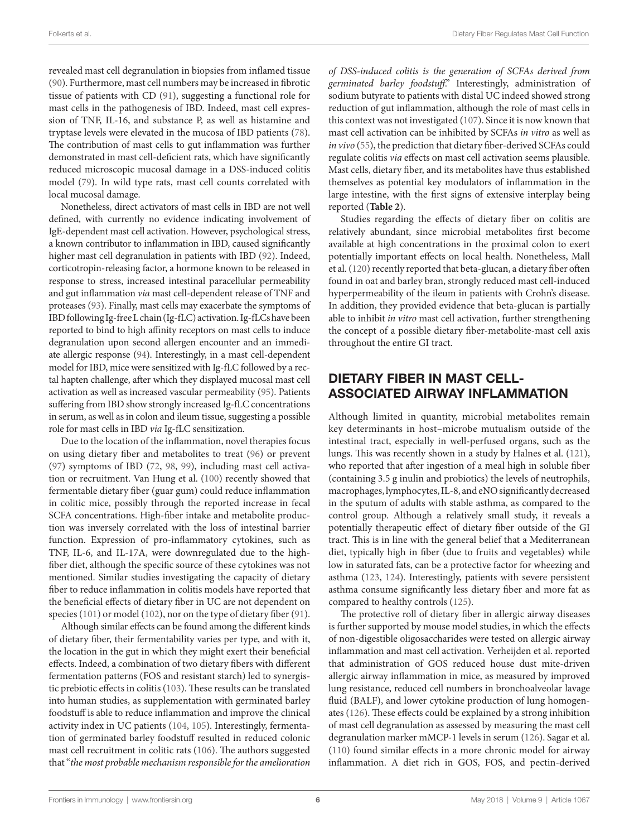revealed mast cell degranulation in biopsies from inflamed tissue ([90\)](#page-10-30). Furthermore, mast cell numbers may be increased in fibrotic tissue of patients with CD ([91\)](#page-10-31), suggesting a functional role for mast cells in the pathogenesis of IBD. Indeed, mast cell expression of TNF, IL-16, and substance P, as well as histamine and tryptase levels were elevated in the mucosa of IBD patients ([78\)](#page-10-18). The contribution of mast cells to gut inflammation was further demonstrated in mast cell-deficient rats, which have significantly reduced microscopic mucosal damage in a DSS-induced colitis model [\(79](#page-10-19)). In wild type rats, mast cell counts correlated with local mucosal damage.

Nonetheless, direct activators of mast cells in IBD are not well defined, with currently no evidence indicating involvement of IgE-dependent mast cell activation. However, psychological stress, a known contributor to inflammation in IBD, caused significantly higher mast cell degranulation in patients with IBD [\(92](#page-10-32)). Indeed, corticotropin-releasing factor, a hormone known to be released in response to stress, increased intestinal paracellular permeability and gut inflammation *via* mast cell-dependent release of TNF and proteases [\(93\)](#page-10-33). Finally, mast cells may exacerbate the symptoms of IBD following Ig-free L chain (Ig-fLC) activation. Ig-fLCs have been reported to bind to high affinity receptors on mast cells to induce degranulation upon second allergen encounter and an immediate allergic response [\(94](#page-10-34)). Interestingly, in a mast cell-dependent model for IBD, mice were sensitized with Ig-fLC followed by a rectal hapten challenge, after which they displayed mucosal mast cell activation as well as increased vascular permeability [\(95](#page-10-35)). Patients suffering from IBD show strongly increased Ig-fLC concentrations in serum, as well as in colon and ileum tissue, suggesting a possible role for mast cells in IBD *via* Ig-fLC sensitization.

Due to the location of the inflammation, novel therapies focus on using dietary fiber and metabolites to treat [\(96](#page-10-36)) or prevent ([97\)](#page-10-37) symptoms of IBD ([72,](#page-10-12) [98](#page-10-38), [99\)](#page-10-39), including mast cell activation or recruitment. Van Hung et al. [\(100](#page-10-40)) recently showed that fermentable dietary fiber (guar gum) could reduce inflammation in colitic mice, possibly through the reported increase in fecal SCFA concentrations. High-fiber intake and metabolite production was inversely correlated with the loss of intestinal barrier function. Expression of pro-inflammatory cytokines, such as TNF, IL-6, and IL-17A, were downregulated due to the highfiber diet, although the specific source of these cytokines was not mentioned. Similar studies investigating the capacity of dietary fiber to reduce inflammation in colitis models have reported that the beneficial effects of dietary fiber in UC are not dependent on species [\(101\)](#page-10-41) or model ([102](#page-10-42)), nor on the type of dietary fiber ([91\)](#page-10-31).

Although similar effects can be found among the different kinds of dietary fiber, their fermentability varies per type, and with it, the location in the gut in which they might exert their beneficial effects. Indeed, a combination of two dietary fibers with different fermentation patterns (FOS and resistant starch) led to synergistic prebiotic effects in colitis ([103\)](#page-11-0). These results can be translated into human studies, as supplementation with germinated barley foodstuff is able to reduce inflammation and improve the clinical activity index in UC patients [\(104](#page-11-1), [105](#page-11-2)). Interestingly, fermentation of germinated barley foodstuff resulted in reduced colonic mast cell recruitment in colitic rats ([106](#page-11-3)). The authors suggested that "*the most probable mechanism responsible for the amelioration*  *of DSS-induced colitis is the generation of SCFAs derived from germinated barley foodstuff*." Interestingly, administration of sodium butyrate to patients with distal UC indeed showed strong reduction of gut inflammation, although the role of mast cells in this context was not investigated ([107](#page-11-4)). Since it is now known that mast cell activation can be inhibited by SCFAs *in vitro* as well as *in vivo* ([55\)](#page-9-35), the prediction that dietary fiber-derived SCFAs could regulate colitis *via* effects on mast cell activation seems plausible. Mast cells, dietary fiber, and its metabolites have thus established themselves as potential key modulators of inflammation in the large intestine, with the first signs of extensive interplay being reported (**[Table 2](#page-6-0)**).

Studies regarding the effects of dietary fiber on colitis are relatively abundant, since microbial metabolites first become available at high concentrations in the proximal colon to exert potentially important effects on local health. Nonetheless, Mall et al. [\(120\)](#page-11-5) recently reported that beta-glucan, a dietary fiber often found in oat and barley bran, strongly reduced mast cell-induced hyperpermeability of the ileum in patients with Crohn's disease. In addition, they provided evidence that beta-glucan is partially able to inhibit *in vitro* mast cell activation, further strengthening the concept of a possible dietary fiber-metabolite-mast cell axis throughout the entire GI tract.

## DIETARY FIBER IN MAST CELL-ASSOCIATED AIRWAY INFLAMMATION

Although limited in quantity, microbial metabolites remain key determinants in host–microbe mutualism outside of the intestinal tract, especially in well-perfused organs, such as the lungs. This was recently shown in a study by Halnes et al. ([121](#page-11-6)), who reported that after ingestion of a meal high in soluble fiber (containing 3.5 g inulin and probiotics) the levels of neutrophils, macrophages, lymphocytes, IL-8, and eNO significantly decreased in the sputum of adults with stable asthma, as compared to the control group. Although a relatively small study, it reveals a potentially therapeutic effect of dietary fiber outside of the GI tract. This is in line with the general belief that a Mediterranean diet, typically high in fiber (due to fruits and vegetables) while low in saturated fats, can be a protective factor for wheezing and asthma [\(123,](#page-11-7) [124\)](#page-11-8). Interestingly, patients with severe persistent asthma consume significantly less dietary fiber and more fat as compared to healthy controls [\(125\)](#page-11-9).

The protective roll of dietary fiber in allergic airway diseases is further supported by mouse model studies, in which the effects of non-digestible oligosaccharides were tested on allergic airway inflammation and mast cell activation. Verheijden et al. reported that administration of GOS reduced house dust mite-driven allergic airway inflammation in mice, as measured by improved lung resistance, reduced cell numbers in bronchoalveolar lavage fluid (BALF), and lower cytokine production of lung homogenates ([126](#page-11-10)). These effects could be explained by a strong inhibition of mast cell degranulation as assessed by measuring the mast cell degranulation marker mMCP-1 levels in serum ([126\)](#page-11-10). Sagar et al. [\(110](#page-11-11)) found similar effects in a more chronic model for airway inflammation. A diet rich in GOS, FOS, and pectin-derived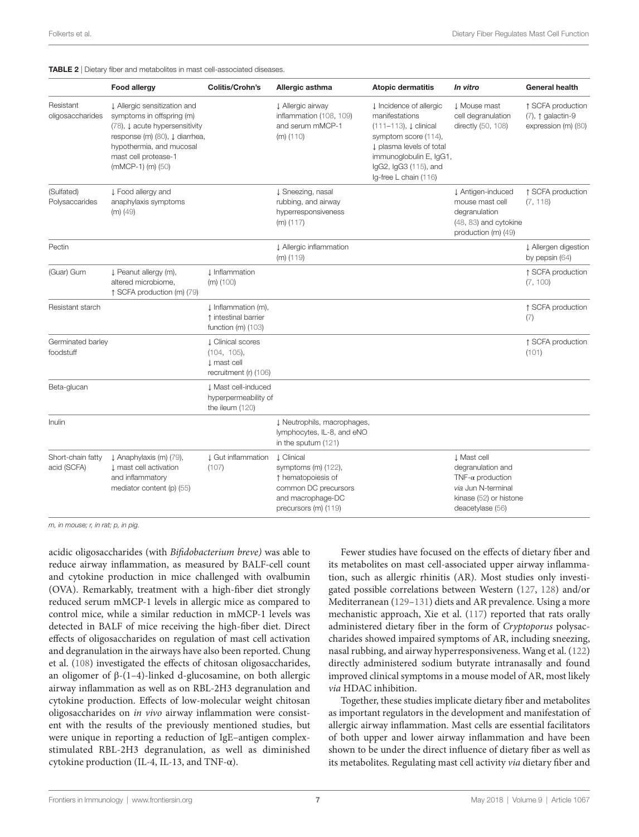#### <span id="page-6-0"></span>TABLE 2 | Dietary fiber and metabolites in mast cell-associated diseases.

|                                  | <b>Food allergy</b>                                                                                                                                                                                               | Colitis/Crohn's                                                                 | Allergic asthma                                                                                                                       | <b>Atopic dermatitis</b>                                                                                                                                                                                          | In vitro                                                                                                                         | <b>General health</b>                                                  |
|----------------------------------|-------------------------------------------------------------------------------------------------------------------------------------------------------------------------------------------------------------------|---------------------------------------------------------------------------------|---------------------------------------------------------------------------------------------------------------------------------------|-------------------------------------------------------------------------------------------------------------------------------------------------------------------------------------------------------------------|----------------------------------------------------------------------------------------------------------------------------------|------------------------------------------------------------------------|
| Resistant<br>oligosaccharides    | ↓ Allergic sensitization and<br>symptoms in offspring (m)<br>(78), $\downarrow$ acute hypersensitivity<br>response (m) (80), ↓ diarrhea,<br>hypothermia, and mucosal<br>mast cell protease-1<br>(mMCP-1) (m) (50) |                                                                                 | ↓ Allergic airway<br>inflammation (108, 109)<br>and serum mMCP-1<br>$(m)$ (110)                                                       | ↓ Incidence of allergic<br>manifestations<br>$(111 - 113)$ , $\downarrow$ clinical<br>symptom score (114),<br>plasma levels of total<br>immunoglobulin E, IgG1,<br>lgG2, lgG3 (115), and<br>Ig-free L chain (116) | ↓ Mouse mast<br>cell degranulation<br>directly (50, 108)                                                                         | ↑ SCFA production<br>$(7), \uparrow$ galactin-9<br>expression (m) (80) |
| (Sulfated)<br>Polysaccarides     | ↓ Food allergy and<br>anaphylaxis symptoms<br>$(m)$ (49)                                                                                                                                                          |                                                                                 | ↓ Sneezing, nasal<br>rubbing, and airway<br>hyperresponsiveness<br>$(m)$ (117)                                                        |                                                                                                                                                                                                                   | ↓ Antigen-induced<br>mouse mast cell<br>degranulation<br>(48, 83) and cytokine<br>production (m) (49)                            | ↑ SCFA production<br>(7, 118)                                          |
| Pectin                           |                                                                                                                                                                                                                   |                                                                                 | ↓ Allergic inflammation<br>$(m)$ (119)                                                                                                |                                                                                                                                                                                                                   |                                                                                                                                  | ↓ Allergen digestion<br>by pepsin (64)                                 |
| (Guar) Gum                       | ↓ Peanut allergy (m),<br>altered microbiome,<br>↑ SCFA production (m) (79)                                                                                                                                        | <b>↓</b> Inflammation<br>$(m)$ (100)                                            |                                                                                                                                       |                                                                                                                                                                                                                   |                                                                                                                                  | ↑ SCFA production<br>(7, 100)                                          |
| Resistant starch                 |                                                                                                                                                                                                                   | ↓ Inflammation (m),<br>↑ intestinal barrier<br>function $(m)$ (103)             |                                                                                                                                       |                                                                                                                                                                                                                   |                                                                                                                                  | ↑ SCFA production<br>(7)                                               |
| Germinated barley<br>foodstuff   |                                                                                                                                                                                                                   | <b>L</b> Clinical scores<br>(104, 105),<br>1 mast cell<br>recruitment (r) (106) |                                                                                                                                       |                                                                                                                                                                                                                   |                                                                                                                                  | ↑ SCFA production<br>(101)                                             |
| Beta-glucan                      |                                                                                                                                                                                                                   | J. Mast cell-induced<br>hyperpermeability of<br>the ileum (120)                 |                                                                                                                                       |                                                                                                                                                                                                                   |                                                                                                                                  |                                                                        |
| Inulin                           |                                                                                                                                                                                                                   |                                                                                 | J Neutrophils, macrophages,<br>lymphocytes, IL-8, and eNO<br>in the sputum $(121)$                                                    |                                                                                                                                                                                                                   |                                                                                                                                  |                                                                        |
| Short-chain fatty<br>acid (SCFA) | ↓ Anaphylaxis (m) (79),<br><b>J</b> mast cell activation<br>and inflammatory<br>mediator content (p) (55)                                                                                                         | ↓ Gut inflammation<br>(107)                                                     | <b>J</b> Clinical<br>symptoms $(m)$ (122),<br>↑ hematopoiesis of<br>common DC precursors<br>and macrophage-DC<br>precursors (m) (119) |                                                                                                                                                                                                                   | J Mast cell<br>degranulation and<br>TNF- $\alpha$ production<br>via Jun N-terminal<br>kinase (52) or histone<br>deacetylase (56) |                                                                        |

*m, in mouse; r, in rat; p, in pig.*

acidic oligosaccharides (with *Bifidobacterium breve)* was able to reduce airway inflammation, as measured by BALF-cell count and cytokine production in mice challenged with ovalbumin (OVA). Remarkably, treatment with a high-fiber diet strongly reduced serum mMCP-1 levels in allergic mice as compared to control mice, while a similar reduction in mMCP-1 levels was detected in BALF of mice receiving the high-fiber diet. Direct effects of oligosaccharides on regulation of mast cell activation and degranulation in the airways have also been reported. Chung et al. ([108\)](#page-11-12) investigated the effects of chitosan oligosaccharides, an oligomer of β-(1–4)-linked d-glucosamine, on both allergic airway inflammation as well as on RBL-2H3 degranulation and cytokine production. Effects of low-molecular weight chitosan oligosaccharides on *in vivo* airway inflammation were consistent with the results of the previously mentioned studies, but were unique in reporting a reduction of IgE–antigen complexstimulated RBL-2H3 degranulation, as well as diminished cytokine production (IL-4, IL-13, and TNF- $\alpha$ ).

Fewer studies have focused on the effects of dietary fiber and its metabolites on mast cell-associated upper airway inflammation, such as allergic rhinitis (AR). Most studies only investigated possible correlations between Western ([127,](#page-11-23) [128\)](#page-11-24) and/or Mediterranean ([129](#page-11-25)[–131\)](#page-11-26) diets and AR prevalence. Using a more mechanistic approach, Xie et al. ([117\)](#page-11-19) reported that rats orally administered dietary fiber in the form of *Cryptoporus* polysaccharides showed impaired symptoms of AR, including sneezing, nasal rubbing, and airway hyperresponsiveness. Wang et al. ([122\)](#page-11-22) directly administered sodium butyrate intranasally and found improved clinical symptoms in a mouse model of AR, most likely *via* HDAC inhibition.

Together, these studies implicate dietary fiber and metabolites as important regulators in the development and manifestation of allergic airway inflammation. Mast cells are essential facilitators of both upper and lower airway inflammation and have been shown to be under the direct influence of dietary fiber as well as its metabolites. Regulating mast cell activity *via* dietary fiber and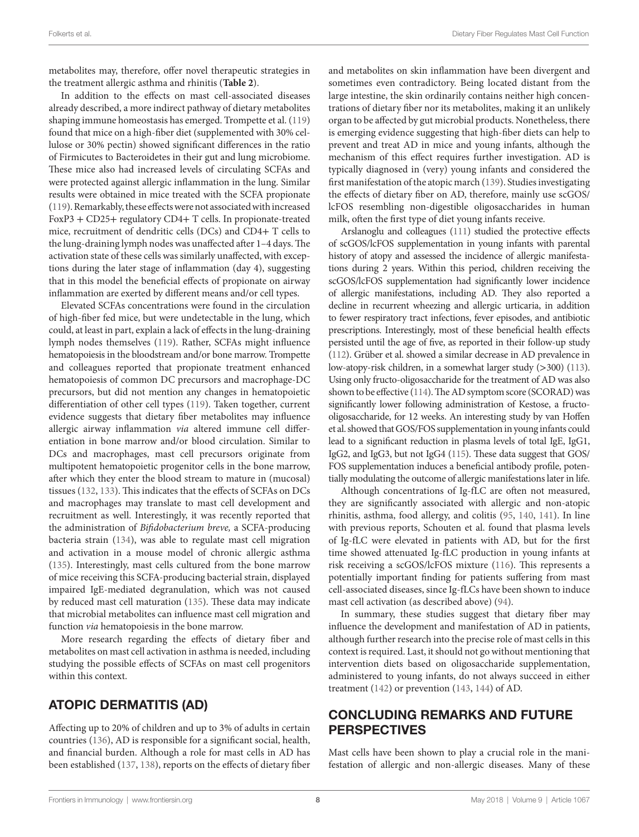metabolites may, therefore, offer novel therapeutic strategies in the treatment allergic asthma and rhinitis (**[Table 2](#page-6-0)**).

In addition to the effects on mast cell-associated diseases already described, a more indirect pathway of dietary metabolites shaping immune homeostasis has emerged. Trompette et al. [\(119\)](#page-11-21) found that mice on a high-fiber diet (supplemented with 30% cellulose or 30% pectin) showed significant differences in the ratio of Firmicutes to Bacteroidetes in their gut and lung microbiome. These mice also had increased levels of circulating SCFAs and were protected against allergic inflammation in the lung. Similar results were obtained in mice treated with the SCFA propionate ([119](#page-11-21)). Remarkably, these effects were not associated with increased FoxP3 + CD25+ regulatory CD4+ T cells. In propionate-treated mice, recruitment of dendritic cells (DCs) and CD4+ T cells to the lung-draining lymph nodes was unaffected after 1–4 days. The activation state of these cells was similarly unaffected, with exceptions during the later stage of inflammation (day 4), suggesting that in this model the beneficial effects of propionate on airway inflammation are exerted by different means and/or cell types.

Elevated SCFAs concentrations were found in the circulation of high-fiber fed mice, but were undetectable in the lung, which could, at least in part, explain a lack of effects in the lung-draining lymph nodes themselves ([119\)](#page-11-21). Rather, SCFAs might influence hematopoiesis in the bloodstream and/or bone marrow. Trompette and colleagues reported that propionate treatment enhanced hematopoiesis of common DC precursors and macrophage-DC precursors, but did not mention any changes in hematopoietic differentiation of other cell types [\(119\)](#page-11-21). Taken together, current evidence suggests that dietary fiber metabolites may influence allergic airway inflammation *via* altered immune cell differentiation in bone marrow and/or blood circulation. Similar to DCs and macrophages, mast cell precursors originate from multipotent hematopoietic progenitor cells in the bone marrow, after which they enter the blood stream to mature in (mucosal) tissues [\(132](#page-11-27), [133\)](#page-11-28). This indicates that the effects of SCFAs on DCs and macrophages may translate to mast cell development and recruitment as well. Interestingly, it was recently reported that the administration of *Bifidobacterium breve,* a SCFA-producing bacteria strain [\(134\)](#page-11-29), was able to regulate mast cell migration and activation in a mouse model of chronic allergic asthma ([135](#page-11-30)). Interestingly, mast cells cultured from the bone marrow of mice receiving this SCFA-producing bacterial strain, displayed impaired IgE-mediated degranulation, which was not caused by reduced mast cell maturation [\(135\)](#page-11-30). These data may indicate that microbial metabolites can influence mast cell migration and function *via* hematopoiesis in the bone marrow.

More research regarding the effects of dietary fiber and metabolites on mast cell activation in asthma is needed, including studying the possible effects of SCFAs on mast cell progenitors within this context.

### ATOPIC DERMATITIS (AD)

Affecting up to 20% of children and up to 3% of adults in certain countries [\(136\)](#page-11-31), AD is responsible for a significant social, health, and financial burden. Although a role for mast cells in AD has been established ([137](#page-11-32), [138](#page-11-33)), reports on the effects of dietary fiber and metabolites on skin inflammation have been divergent and sometimes even contradictory. Being located distant from the large intestine, the skin ordinarily contains neither high concentrations of dietary fiber nor its metabolites, making it an unlikely organ to be affected by gut microbial products. Nonetheless, there is emerging evidence suggesting that high-fiber diets can help to prevent and treat AD in mice and young infants, although the mechanism of this effect requires further investigation. AD is typically diagnosed in (very) young infants and considered the first manifestation of the atopic march [\(139\)](#page-11-34). Studies investigating the effects of dietary fiber on AD, therefore, mainly use scGOS/ lcFOS resembling non-digestible oligosaccharides in human milk, often the first type of diet young infants receive.

Arslanoglu and colleagues [\(111](#page-11-14)) studied the protective effects of scGOS/lcFOS supplementation in young infants with parental history of atopy and assessed the incidence of allergic manifestations during 2 years. Within this period, children receiving the scGOS/lcFOS supplementation had significantly lower incidence of allergic manifestations, including AD. They also reported a decline in recurrent wheezing and allergic urticaria, in addition to fewer respiratory tract infections, fever episodes, and antibiotic prescriptions. Interestingly, most of these beneficial health effects persisted until the age of five, as reported in their follow-up study [\(112](#page-11-35)). Grüber et al. showed a similar decrease in AD prevalence in low-atopy-risk children, in a somewhat larger study (>300) [\(113\)](#page-11-15). Using only fructo-oligosaccharide for the treatment of AD was also shown to be effective [\(114\)](#page-11-16). The AD symptom score (SCORAD) was significantly lower following administration of Kestose, a fructooligosaccharide, for 12 weeks. An interesting study by van Hoffen et al. showed that GOS/FOS supplementation in young infants could lead to a significant reduction in plasma levels of total IgE, IgG1, IgG2, and IgG3, but not IgG4 ([115\)](#page-11-17). These data suggest that GOS/ FOS supplementation induces a beneficial antibody profile, potentially modulating the outcome of allergic manifestations later in life.

Although concentrations of Ig-fLC are often not measured, they are significantly associated with allergic and non-atopic rhinitis, asthma, food allergy, and colitis ([95](#page-10-35), [140,](#page-12-0) [141\)](#page-12-1). In line with previous reports, Schouten et al. found that plasma levels of Ig-fLC were elevated in patients with AD, but for the first time showed attenuated Ig-fLC production in young infants at risk receiving a scGOS/lcFOS mixture ([116](#page-11-18)). This represents a potentially important finding for patients suffering from mast cell-associated diseases, since Ig-fLCs have been shown to induce mast cell activation (as described above) ([94](#page-10-34)).

In summary, these studies suggest that dietary fiber may influence the development and manifestation of AD in patients, although further research into the precise role of mast cells in this context is required. Last, it should not go without mentioning that intervention diets based on oligosaccharide supplementation, administered to young infants, do not always succeed in either treatment ([142](#page-12-2)) or prevention ([143](#page-12-3), [144](#page-12-4)) of AD.

#### CONCLUDING REMARKS AND FUTURE PERSPECTIVES

Mast cells have been shown to play a crucial role in the manifestation of allergic and non-allergic diseases. Many of these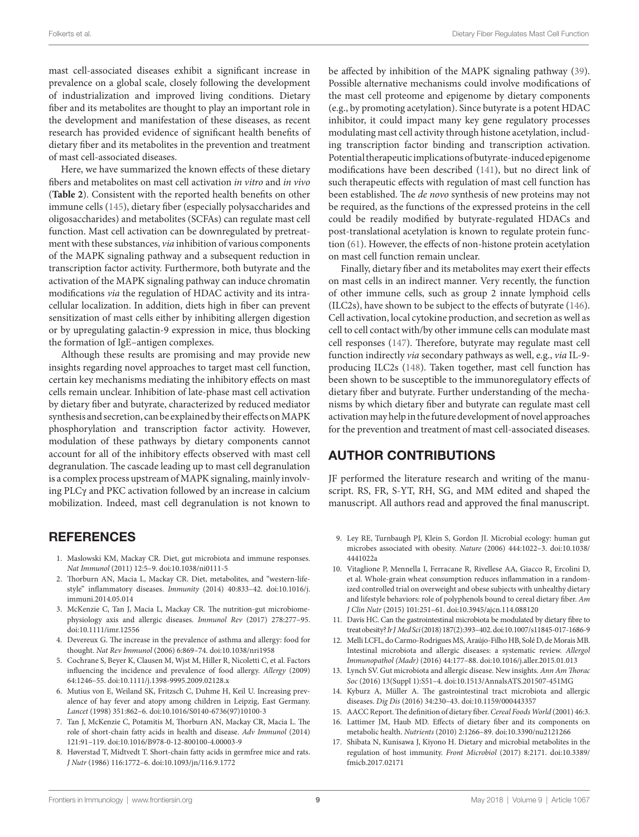mast cell-associated diseases exhibit a significant increase in prevalence on a global scale, closely following the development of industrialization and improved living conditions. Dietary fiber and its metabolites are thought to play an important role in the development and manifestation of these diseases, as recent research has provided evidence of significant health benefits of dietary fiber and its metabolites in the prevention and treatment of mast cell-associated diseases.

Here, we have summarized the known effects of these dietary fibers and metabolites on mast cell activation *in vitro* and *in vivo* (**[Table 2](#page-6-0)**). Consistent with the reported health benefits on other immune cells [\(145\)](#page-12-5), dietary fiber (especially polysaccharides and oligosaccharides) and metabolites (SCFAs) can regulate mast cell function. Mast cell activation can be downregulated by pretreatment with these substances, *via* inhibition of various components of the MAPK signaling pathway and a subsequent reduction in transcription factor activity. Furthermore, both butyrate and the activation of the MAPK signaling pathway can induce chromatin modifications *via* the regulation of HDAC activity and its intracellular localization. In addition, diets high in fiber can prevent sensitization of mast cells either by inhibiting allergen digestion or by upregulating galactin-9 expression in mice, thus blocking the formation of IgE–antigen complexes.

Although these results are promising and may provide new insights regarding novel approaches to target mast cell function, certain key mechanisms mediating the inhibitory effects on mast cells remain unclear. Inhibition of late-phase mast cell activation by dietary fiber and butyrate, characterized by reduced mediator synthesis and secretion, can be explained by their effects on MAPK phosphorylation and transcription factor activity. However, modulation of these pathways by dietary components cannot account for all of the inhibitory effects observed with mast cell degranulation. The cascade leading up to mast cell degranulation is a complex process upstream of MAPK signaling, mainly involving PLCγ and PKC activation followed by an increase in calcium mobilization. Indeed, mast cell degranulation is not known to

#### **REFERENCES**

- <span id="page-8-0"></span>1. Maslowski KM, Mackay CR. Diet, gut microbiota and immune responses. *Nat Immunol* (2011) 12:5–9. doi:[10.1038/ni0111-5](https://doi.org/10.1038/ni0111-5)
- <span id="page-8-1"></span>2. Thorburn AN, Macia L, Mackay CR. Diet, metabolites, and "western-lifestyle" inflammatory diseases. *Immunity* (2014) 40:833–42. doi:[10.1016/j.](https://doi.org/10.1016/j.immuni.2014.05.014) [immuni.2014.05.014](https://doi.org/10.1016/j.immuni.2014.05.014)
- <span id="page-8-2"></span>3. McKenzie C, Tan J, Macia L, Mackay CR. The nutrition-gut microbiomephysiology axis and allergic diseases. *Immunol Rev* (2017) 278:277–95. doi:[10.1111/imr.12556](https://doi.org/10.1111/imr.12556)
- <span id="page-8-3"></span>4. Devereux G. The increase in the prevalence of asthma and allergy: food for thought. *Nat Rev Immunol* (2006) 6:869–74. doi:[10.1038/nri1958](https://doi.org/10.1038/nri1958)
- <span id="page-8-4"></span>5. Cochrane S, Beyer K, Clausen M, Wjst M, Hiller R, Nicoletti C, et al. Factors influencing the incidence and prevalence of food allergy. *Allergy* (2009) 64:1246–55. doi:[10.1111/j.1398-9995.2009.02128.x](https://doi.org/10.1111/j.1398-9995.2009.02128.x)
- <span id="page-8-5"></span>6. Mutius von E, Weiland SK, Fritzsch C, Duhme H, Keil U. Increasing prevalence of hay fever and atopy among children in Leipzig, East Germany. *Lancet* (1998) 351:862–6. doi:[10.1016/S0140-6736\(97\)10100-3](https://doi.org/10.1016/S0140-6736(97)10100-3)
- <span id="page-8-7"></span>7. Tan J, McKenzie C, Potamitis M, Thorburn AN, Mackay CR, Macia L. The role of short-chain fatty acids in health and disease. *Adv Immunol* (2014) 121:91–119. doi:[10.1016/B978-0-12-800100-4.00003-9](https://doi.org/10.1016/B978-0-12-800100-4.00003-9)
- <span id="page-8-8"></span>8. Høverstad T, Midtvedt T. Short-chain fatty acids in germfree mice and rats. *J Nutr* (1986) 116:1772–6. doi:[10.1093/jn/116.9.1772](https://doi.org/10.1093/jn/116.9.1772)

be affected by inhibition of the MAPK signaling pathway [\(39](#page-9-20)). Possible alternative mechanisms could involve modifications of the mast cell proteome and epigenome by dietary components (e.g., by promoting acetylation). Since butyrate is a potent HDAC inhibitor, it could impact many key gene regulatory processes modulating mast cell activity through histone acetylation, including transcription factor binding and transcription activation. Potential therapeutic implications of butyrate-induced epigenome modifications have been described [\(141\)](#page-12-1), but no direct link of such therapeutic effects with regulation of mast cell function has been established. The *de novo* synthesis of new proteins may not be required, as the functions of the expressed proteins in the cell could be readily modified by butyrate-regulated HDACs and post-translational acetylation is known to regulate protein function ([61\)](#page-10-2). However, the effects of non-histone protein acetylation on mast cell function remain unclear.

Finally, dietary fiber and its metabolites may exert their effects on mast cells in an indirect manner. Very recently, the function of other immune cells, such as group 2 innate lymphoid cells (ILC2s), have shown to be subject to the effects of butyrate ([146](#page-12-6)). Cell activation, local cytokine production, and secretion as well as cell to cell contact with/by other immune cells can modulate mast cell responses [\(147\)](#page-12-7). Therefore, butyrate may regulate mast cell function indirectly *via* secondary pathways as well, e.g., *via* IL-9 producing ILC2s [\(148\)](#page-12-8). Taken together, mast cell function has been shown to be susceptible to the immunoregulatory effects of dietary fiber and butyrate. Further understanding of the mechanisms by which dietary fiber and butyrate can regulate mast cell activation may help in the future development of novel approaches for the prevention and treatment of mast cell-associated diseases.

### AUTHOR CONTRIBUTIONS

JF performed the literature research and writing of the manuscript. RS, FR, S-YT, RH, SG, and MM edited and shaped the manuscript. All authors read and approved the final manuscript.

- <span id="page-8-9"></span>9. Ley RE, Turnbaugh PJ, Klein S, Gordon JI. Microbial ecology: human gut microbes associated with obesity. *Nature* (2006) 444:1022–3. doi[:10.1038/](https://doi.org/10.1038/4441022a) [4441022a](https://doi.org/10.1038/4441022a)
- <span id="page-8-10"></span>10. Vitaglione P, Mennella I, Ferracane R, Rivellese AA, Giacco R, Ercolini D, et al. Whole-grain wheat consumption reduces inflammation in a randomized controlled trial on overweight and obese subjects with unhealthy dietary and lifestyle behaviors: role of polyphenols bound to cereal dietary fiber. *Am J Clin Nutr* (2015) 101:251–61. doi:[10.3945/ajcn.114.088120](https://doi.org/10.3945/ajcn.114.088120)
- <span id="page-8-11"></span>11. Davis HC. Can the gastrointestinal microbiota be modulated by dietary fibre to treat obesity? *Ir J Med Sci* (2018) 187(2):393–402. doi[:10.1007/s11845-017-1686-9](https://doi.org/10.1007/s11845-017-1686-9)
- <span id="page-8-12"></span>12. Melli LCFL, do Carmo-Rodrigues MS, Araújo-Filho HB, Solé D, de Morais MB. Intestinal microbiota and allergic diseases: a systematic review. *Allergol Immunopathol (Madr)* (2016) 44:177–88. doi:[10.1016/j.aller.2015.01.013](https://doi.org/10.1016/j.aller.2015.01.013)
- 13. Lynch SV. Gut microbiota and allergic disease. New insights. *Ann Am Thorac Soc* (2016) 13(Suppl 1):S51–4. doi:[10.1513/AnnalsATS.201507-451MG](https://doi.org/10.1513/AnnalsATS.201507-451MG)
- <span id="page-8-13"></span>14. Kyburz A, Müller A. The gastrointestinal tract microbiota and allergic diseases. *Dig Dis* (2016) 34:230–43. doi:[10.1159/000443357](https://doi.org/10.1159/000443357)
- <span id="page-8-14"></span><span id="page-8-6"></span>15. AACC Report. The definition of dietary fiber. *Cereal Foods World* (2001) 46:3. 16. Lattimer JM, Haub MD. Effects of dietary fiber and its components on metabolic health. *Nutrients* (2010) 2:1266–89. doi[:10.3390/nu2121266](https://doi.org/10.3390/nu2121266)
- 17. Shibata N, Kunisawa J, Kiyono H. Dietary and microbial metabolites in the regulation of host immunity. *Front Microbiol* (2017) 8:2171. doi[:10.3389/](https://doi.org/10.3389/fmicb.2017.02171) [fmicb.2017.02171](https://doi.org/10.3389/fmicb.2017.02171)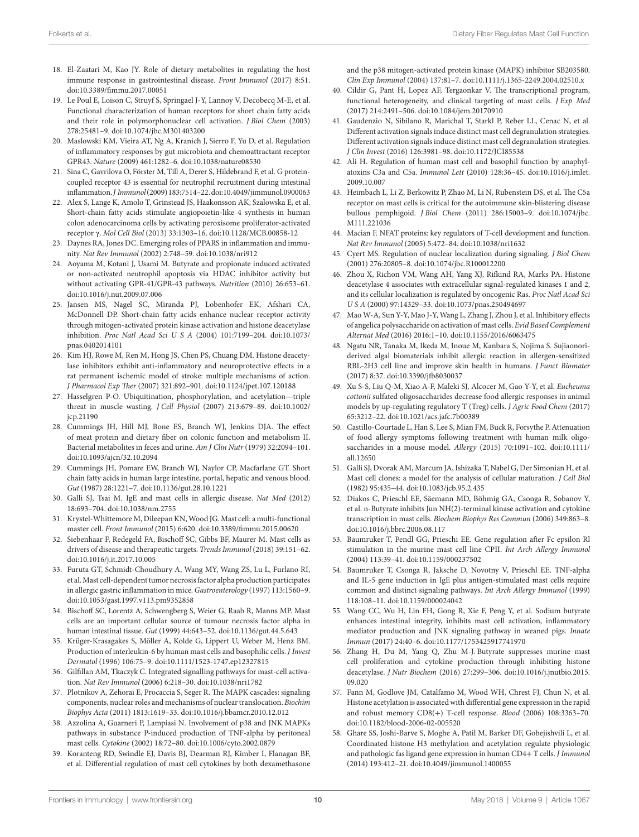- <span id="page-9-0"></span>18. El-Zaatari M, Kao JY. Role of dietary metabolites in regulating the host immune response in gastrointestinal disease. *Front Immunol* (2017) 8:51. doi:[10.3389/fimmu.2017.00051](https://doi.org/10.3389/fimmu.2017.00051)
- <span id="page-9-1"></span>19. Le Poul E, Loison C, Struyf S, Springael J-Y, Lannoy V, Decobecq M-E, et al. Functional characterization of human receptors for short chain fatty acids and their role in polymorphonuclear cell activation. *J Biol Chem* (2003) 278:25481–9. doi[:10.1074/jbc.M301403200](https://doi.org/10.1074/jbc.M301403200)
- 20. Maslowski KM, Vieira AT, Ng A, Kranich J, Sierro F, Yu D, et al. Regulation of inflammatory responses by gut microbiota and chemoattractant receptor GPR43. *Nature* (2009) 461:1282–6. doi:[10.1038/nature08530](https://doi.org/10.1038/nature08530)
- <span id="page-9-2"></span>21. Sina C, Gavrilova O, Förster M, Till A, Derer S, Hildebrand F, et al. G proteincoupled receptor 43 is essential for neutrophil recruitment during intestinal inflammation. *J Immunol* (2009) 183:7514–22. doi:[10.4049/jimmunol.0900063](https://doi.org/10.4049/jimmunol.0900063)
- <span id="page-9-3"></span>22. Alex S, Lange K, Amolo T, Grinstead JS, Haakonsson AK, Szalowska E, et al. Short-chain fatty acids stimulate angiopoietin-like 4 synthesis in human colon adenocarcinoma cells by activating peroxisome proliferator-activated receptor γ. *Mol Cell Biol* (2013) 33:1303–16. doi[:10.1128/MCB.00858-12](https://doi.org/10.1128/MCB.00858-12)
- <span id="page-9-4"></span>23. Daynes RA, Jones DC. Emerging roles of PPARS in inflammation and immunity. *Nat Rev Immunol* (2002) 2:748–59. doi[:10.1038/nri912](https://doi.org/10.1038/nri912)
- <span id="page-9-5"></span>24. Aoyama M, Kotani J, Usami M. Butyrate and propionate induced activated or non-activated neutrophil apoptosis via HDAC inhibitor activity but without activating GPR-41/GPR-43 pathways. *Nutrition* (2010) 26:653–61. doi:[10.1016/j.nut.2009.07.006](https://doi.org/10.1016/j.nut.2009.07.006)
- 25. Jansen MS, Nagel SC, Miranda PJ, Lobenhofer EK, Afshari CA, McDonnell DP. Short-chain fatty acids enhance nuclear receptor activity through mitogen-activated protein kinase activation and histone deacetylase inhibition. *Proc Natl Acad Sci U S A* (2004) 101:7199–204. doi[:10.1073/](https://doi.org/10.1073/pnas.0402014101) [pnas.0402014101](https://doi.org/10.1073/pnas.0402014101)
- <span id="page-9-6"></span>26. Kim HJ, Rowe M, Ren M, Hong JS, Chen PS, Chuang DM. Histone deacetylase inhibitors exhibit anti-inflammatory and neuroprotective effects in a rat permanent ischemic model of stroke: multiple mechanisms of action. *J Pharmacol Exp Ther* (2007) 321:892–901. doi:[10.1124/jpet.107.120188](https://doi.org/10.1124/jpet.107.120188)
- <span id="page-9-7"></span>27. Hasselgren P-O. Ubiquitination, phosphorylation, and acetylation—triple threat in muscle wasting. *J Cell Physiol* (2007) 213:679–89. doi[:10.1002/](https://doi.org/10.1002/jcp.21190) [jcp.21190](https://doi.org/10.1002/jcp.21190)
- <span id="page-9-8"></span>28. Cummings JH, Hill MJ, Bone ES, Branch WJ, Jenkins DJA. The effect of meat protein and dietary fiber on colonic function and metabolism II. Bacterial metabolites in feces and urine. *Am J Clin Nutr* (1979) 32:2094–101. doi:[10.1093/ajcn/32.10.2094](https://doi.org/10.1093/ajcn/32.10.2094)
- <span id="page-9-9"></span>29. Cummings JH, Pomare EW, Branch WJ, Naylor CP, Macfarlane GT. Short chain fatty acids in human large intestine, portal, hepatic and venous blood. *Gut* (1987) 28:1221–7. doi[:10.1136/gut.28.10.1221](https://doi.org/10.1136/gut.28.10.1221)
- <span id="page-9-10"></span>30. Galli SJ, Tsai M. IgE and mast cells in allergic disease. *Nat Med* (2012) 18:693–704. doi:[10.1038/nm.2755](https://doi.org/10.1038/nm.2755)
- <span id="page-9-11"></span>31. Krystel-Whittemore M, Dileepan KN, Wood JG. Mast cell: a multi-functional master cell. *Front Immunol* (2015) 6:620. doi:[10.3389/fimmu.2015.00620](https://doi.org/10.3389/fimmu.2015.00620)
- <span id="page-9-12"></span>32. Siebenhaar F, Redegeld FA, Bischoff SC, Gibbs BF, Maurer M. Mast cells as drivers of disease and therapeutic targets. *Trends Immunol* (2018) 39:151–62. doi:[10.1016/j.it.2017.10.005](https://doi.org/10.1016/j.it.2017.10.005)
- <span id="page-9-13"></span>33. Furuta GT, Schmidt-Choudhury A, Wang MY, Wang ZS, Lu L, Furlano RI, et al. Mast cell-dependent tumor necrosis factor alpha production participates in allergic gastric inflammation in mice. *Gastroenterology* (1997) 113:1560–9. doi:[10.1053/gast.1997.v113.pm9352858](https://doi.org/10.1053/gast.1997.v113.pm9352858)
- <span id="page-9-14"></span>34. Bischoff SC, Lorentz A, Schwengberg S, Weier G, Raab R, Manns MP. Mast cells are an important cellular source of tumour necrosis factor alpha in human intestinal tissue. *Gut* (1999) 44:643–52. doi[:10.1136/gut.44.5.643](https://doi.org/10.1136/gut.44.5.643)
- <span id="page-9-15"></span>35. Krüger-Krasagakes S, Möller A, Kolde G, Lippert U, Weber M, Henz BM. Production of interleukin-6 by human mast cells and basophilic cells. *J Invest Dermatol* (1996) 106:75–9. doi:[10.1111/1523-1747.ep12327815](https://doi.org/10.1111/1523-1747.ep12327815)
- <span id="page-9-16"></span>36. Gilfillan AM, Tkaczyk C. Integrated signalling pathways for mast-cell activation. *Nat Rev Immunol* (2006) 6:218–30. doi[:10.1038/nri1782](https://doi.org/10.1038/nri1782)
- <span id="page-9-18"></span>37. Plotnikov A, Zehorai E, Procaccia S, Seger R. The MAPK cascades: signaling components, nuclear roles and mechanisms of nuclear translocation. *Biochim Biophys Acta* (2011) 1813:1619–33. doi[:10.1016/j.bbamcr.2010.12.012](https://doi.org/10.1016/j.bbamcr.2010.12.012)
- <span id="page-9-19"></span>38. Azzolina A, Guarneri P, Lampiasi N. Involvement of p38 and JNK MAPKs pathways in substance P-induced production of TNF-alpha by peritoneal mast cells. *Cytokine* (2002) 18:72–80. doi:[10.1006/cyto.2002.0879](https://doi.org/10.1006/cyto.2002.0879)
- <span id="page-9-20"></span>39. Koranteng RD, Swindle EJ, Davis BJ, Dearman RJ, Kimber I, Flanagan BF, et al. Differential regulation of mast cell cytokines by both dexamethasone

<span id="page-9-17"></span>and the p38 mitogen-activated protein kinase (MAPK) inhibitor SB203580. *Clin Exp Immunol* (2004) 137:81–7. doi:[10.1111/j.1365-2249.2004.02510.x](https://doi.org/10.1111/j.1365-2249.2004.
02510.x) 

- 40. Cildir G, Pant H, Lopez AF, Tergaonkar V. The transcriptional program, functional heterogeneity, and clinical targeting of mast cells. *J Exp Med* (2017) 214:2491–506. doi[:10.1084/jem.20170910](https://doi.org/10.1084/jem.20170910)
- <span id="page-9-21"></span>41. Gaudenzio N, Sibilano R, Marichal T, Starkl P, Reber LL, Cenac N, et al. Different activation signals induce distinct mast cell degranulation strategies. Different activation signals induce distinct mast cell degranulation strategies. *J Clin Invest* (2016) 126:3981–98. doi:[10.1172/JCI85538](https://doi.org/10.1172/JCI85538)
- <span id="page-9-22"></span>42. Ali H. Regulation of human mast cell and basophil function by anaphylatoxins C3a and C5a. *Immunol Lett* (2010) 128:36–45. doi[:10.1016/j.imlet.](https://doi.org/10.1016/j.imlet.2009.10.007) [2009.10.007](https://doi.org/10.1016/j.imlet.2009.10.007)
- <span id="page-9-23"></span>43. Heimbach L, Li Z, Berkowitz P, Zhao M, Li N, Rubenstein DS, et al. The C5a receptor on mast cells is critical for the autoimmune skin-blistering disease bullous pemphigoid. *J Biol Chem* (2011) 286:15003–9. doi[:10.1074/jbc.](https://doi.org/10.1074/jbc.M111.221036) [M111.221036](https://doi.org/10.1074/jbc.M111.221036)
- <span id="page-9-24"></span>44. Macian F. NFAT proteins: key regulators of T-cell development and function. *Nat Rev Immunol* (2005) 5:472–84. doi[:10.1038/nri1632](https://doi.org/10.1038/nri1632)
- <span id="page-9-25"></span>45. Cyert MS. Regulation of nuclear localization during signaling. *J Biol Chem* (2001) 276:20805–8. doi[:10.1074/jbc.R100012200](https://doi.org/10.1074/jbc.R100012200)
- <span id="page-9-26"></span>46. Zhou X, Richon VM, Wang AH, Yang XJ, Rifkind RA, Marks PA. Histone deacetylase 4 associates with extracellular signal-regulated kinases 1 and 2, and its cellular localization is regulated by oncogenic Ras. *Proc Natl Acad Sci U S A* (2000) 97:14329–33. doi[:10.1073/pnas.250494697](https://doi.org/10.1073/pnas.250494697)
- <span id="page-9-27"></span>47. Mao W-A, Sun Y-Y, Mao J-Y, Wang L, Zhang J, Zhou J, et al. Inhibitory effects of angelica polysaccharide on activation of mast cells. *Evid Based Complement Alternat Med* (2016) 2016:1–10. doi[:10.1155/2016/6063475](https://doi.org/10.1155/2016/6063475)
- <span id="page-9-28"></span>48. Ngatu NR, Tanaka M, Ikeda M, Inoue M, Kanbara S, Nojima S. Sujiaonoriderived algal biomaterials inhibit allergic reaction in allergen-sensitized RBL-2H3 cell line and improve skin health in humans. *J Funct Biomater* (2017) 8:37. doi:[10.3390/jfb8030037](https://doi.org/10.3390/jfb8030037)
- <span id="page-9-29"></span>49. Xu S-S, Liu Q-M, Xiao A-F, Maleki SJ, Alcocer M, Gao Y-Y, et al. *Eucheuma cottonii* sulfated oligosaccharides decrease food allergic responses in animal models by up-regulating regulatory T (Treg) cells. *J Agric Food Chem* (2017) 65:3212–22. doi:[10.1021/acs.jafc.7b00389](https://doi.org/10.1021/acs.jafc.7b00389)
- <span id="page-9-30"></span>50. Castillo-Courtade L, Han S, Lee S, Mian FM, Buck R, Forsythe P. Attenuation of food allergy symptoms following treatment with human milk oligosaccharides in a mouse model. *Allergy* (2015) 70:1091–102. doi[:10.1111/](https://doi.org/10.1111/
all.12650) [all.12650](https://doi.org/10.1111/
all.12650)
- <span id="page-9-31"></span>51. Galli SJ, Dvorak AM, Marcum JA, Ishizaka T, Nabel G, Der Simonian H, et al. Mast cell clones: a model for the analysis of cellular maturation. *J Cell Biol* (1982) 95:435–44. doi[:10.1083/jcb.95.2.435](https://doi.org/10.1083/jcb.95.2.435)
- <span id="page-9-32"></span>52. Diakos C, Prieschl EE, Säemann MD, Böhmig GA, Csonga R, Sobanov Y, et al. n-Butyrate inhibits Jun NH(2)-terminal kinase activation and cytokine transcription in mast cells. *Biochem Biophys Res Commun* (2006) 349:863–8. doi:[10.1016/j.bbrc.2006.08.117](https://doi.org/10.1016/j.bbrc.2006.08.117)
- <span id="page-9-33"></span>53. Baumruker T, Pendl GG, Prieschi EE. Gene regulation after Fc epsilon Rl stimulation in the murine mast cell line CPII. *Int Arch Allergy Immunol* (2004) 113:39–41. doi[:10.1159/000237502](https://doi.org/10.1159/000237502)
- <span id="page-9-34"></span>54. Baumruker T, Csonga R, Jaksche D, Novotny V, Prieschl EE. TNF-alpha and IL-5 gene induction in IgE plus antigen-stimulated mast cells require common and distinct signaling pathways. *Int Arch Allergy Immunol* (1999) 118:108–11. doi:[10.1159/000024042](https://doi.org/10.1159/000024042)
- <span id="page-9-35"></span>55. Wang CC, Wu H, Lin FH, Gong R, Xie F, Peng Y, et al. Sodium butyrate enhances intestinal integrity, inhibits mast cell activation, inflammatory mediator production and JNK signaling pathway in weaned pigs. *Innate Immun* (2017) 24:40–6. doi[:10.1177/1753425917741970](https://doi.org/10.1177/1753425917741970)
- <span id="page-9-36"></span>56. Zhang H, Du M, Yang Q, Zhu M-J. Butyrate suppresses murine mast cell proliferation and cytokine production through inhibiting histone deacetylase. *J Nutr Biochem* (2016) 27:299–306. doi[:10.1016/j.jnutbio.2015.](https://doi.org/10.1016/j.jnutbio.2015.09.020) [09.020](https://doi.org/10.1016/j.jnutbio.2015.09.020)
- <span id="page-9-37"></span>57. Fann M, Godlove JM, Catalfamo M, Wood WH, Chrest FJ, Chun N, et al. Histone acetylation is associated with differential gene expression in the rapid and robust memory CD8(+) T-cell response. *Blood* (2006) 108:3363–70. doi:[10.1182/blood-2006-02-005520](https://doi.org/10.1182/blood-2006-02-005520)
- <span id="page-9-38"></span>58. Ghare SS, Joshi-Barve S, Moghe A, Patil M, Barker DF, Gobejishvili L, et al. Coordinated histone H3 methylation and acetylation regulate physiologic and pathologic fas ligand gene expression in human CD4+ T cells. *J Immunol* (2014) 193:412–21. doi:[10.4049/jimmunol.1400055](https://doi.org/10.4049/jimmunol.1400055)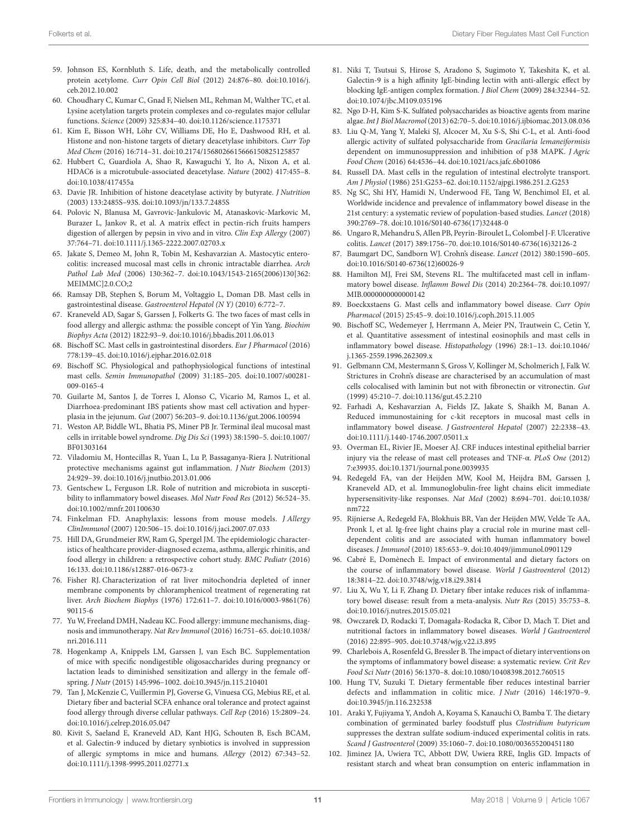<span id="page-10-0"></span>59. Johnson ES, Kornbluth S. Life, death, and the metabolically controlled protein acetylome. *Curr Opin Cell Biol* (2012) 24:876–80. doi:[10.1016/j.](https://doi.org/10.1016/j.ceb.2012.10.002) [ceb.2012.10.002](https://doi.org/10.1016/j.ceb.2012.10.002)

<span id="page-10-1"></span>60. Choudhary C, Kumar C, Gnad F, Nielsen ML, Rehman M, Walther TC, et al. Lysine acetylation targets protein complexes and co-regulates major cellular functions. *Science* (2009) 325:834–40. doi:[10.1126/science.1175371](https://doi.org/10.1126/science.1175371)

- <span id="page-10-2"></span>61. Kim E, Bisson WH, Löhr CV, Williams DE, Ho E, Dashwood RH, et al. Histone and non-histone targets of dietary deacetylase inhibitors. *Curr Top Med Chem* (2016) 16:714–31. doi[:10.2174/1568026615666150825125857](https://doi.org/10.2174/1568026615666150825125857)
- <span id="page-10-3"></span>62. Hubbert C, Guardiola A, Shao R, Kawaguchi Y, Ito A, Nixon A, et al. HDAC6 is a microtubule-associated deacetylase. *Nature* (2002) 417:455–8. doi:[10.1038/417455a](https://doi.org/10.1038/417455a)
- <span id="page-10-4"></span>63. Davie JR. Inhibition of histone deacetylase activity by butyrate. *J Nutrition* (2003) 133:2485S–93S. doi:[10.1093/jn/133.7.2485S](https://doi.org/10.1093/jn/133.7.2485S)
- <span id="page-10-5"></span>64. Polovic N, Blanusa M, Gavrovic-Jankulovic M, Atanaskovic-Markovic M, Burazer L, Jankov R, et al. A matrix effect in pectin-rich fruits hampers digestion of allergen by pepsin in vivo and in vitro. *Clin Exp Allergy* (2007) 37:764–71. doi[:10.1111/j.1365-2222.2007.02703.x](https://doi.org/10.1111/j.1365-2222.2007.02703.x)
- <span id="page-10-6"></span>65. Jakate S, Demeo M, John R, Tobin M, Keshavarzian A. Mastocytic enterocolitis: increased mucosal mast cells in chronic intractable diarrhea. *Arch Pathol Lab Med* (2006) 130:362–7. doi[:10.1043/1543-2165\(2006\)130\[362:](https://doi.org/10.1043/1543-2165(2006)130[362:
MEIMMC]2.0.CO;2) [MEIMMC\]2.0.CO;2](https://doi.org/10.1043/1543-2165(2006)130[362:
MEIMMC]2.0.CO;2)
- <span id="page-10-7"></span>66. Ramsay DB, Stephen S, Borum M, Voltaggio L, Doman DB. Mast cells in gastrointestinal disease. *Gastroenterol Hepatol (N Y)* (2010) 6:772–7.
- 67. Kraneveld AD, Sagar S, Garssen J, Folkerts G. The two faces of mast cells in food allergy and allergic asthma: the possible concept of Yin Yang. *Biochim Biophys Acta* (2012) 1822:93–9. doi[:10.1016/j.bbadis.2011.06.013](https://doi.org/10.1016/j.bbadis.2011.06.013)
- <span id="page-10-8"></span>68. Bischoff SC. Mast cells in gastrointestinal disorders. *Eur J Pharmacol* (2016) 778:139–45. doi:[10.1016/j.ejphar.2016.02.018](https://doi.org/10.1016/j.ejphar.2016.02.018)
- <span id="page-10-9"></span>69. Bischoff SC. Physiological and pathophysiological functions of intestinal mast cells. *Semin Immunopathol* (2009) 31:185–205. doi:[10.1007/s00281-](https://doi.org/10.1007/s00281-009-0165-4) [009-0165-4](https://doi.org/10.1007/s00281-009-0165-4)
- <span id="page-10-10"></span>70. Guilarte M, Santos J, de Torres I, Alonso C, Vicario M, Ramos L, et al. Diarrhoea-predominant IBS patients show mast cell activation and hyperplasia in the jejunum. *Gut* (2007) 56:203–9. doi[:10.1136/gut.2006.100594](https://doi.org/10.1136/gut.2006.100594)
- <span id="page-10-11"></span>71. Weston AP, Biddle WL, Bhatia PS, Miner PB Jr. Terminal ileal mucosal mast cells in irritable bowel syndrome. *Dig Dis Sci* (1993) 38:1590–5. doi[:10.1007/](https://doi.org/10.1007/BF01303164) [BF01303164](https://doi.org/10.1007/BF01303164)
- <span id="page-10-12"></span>72. Viladomiu M, Hontecillas R, Yuan L, Lu P, Bassaganya-Riera J. Nutritional protective mechanisms against gut inflammation. *J Nutr Biochem* (2013) 24:929–39. doi[:10.1016/j.jnutbio.2013.01.006](https://doi.org/10.1016/j.jnutbio.2013.01.006)
- <span id="page-10-13"></span>73. Gentschew L, Ferguson LR. Role of nutrition and microbiota in susceptibility to inflammatory bowel diseases. *Mol Nutr Food Res* (2012) 56:524–35. doi:[10.1002/mnfr.201100630](https://doi.org/10.1002/mnfr.201100630)
- <span id="page-10-14"></span>74. Finkelman FD. Anaphylaxis: lessons from mouse models. *J Allergy ClinImmunol* (2007) 120:506–15. doi[:10.1016/j.jaci.2007.07.033](https://doi.org/10.1016/j.jaci.2007.07.033)
- <span id="page-10-15"></span>75. Hill DA, Grundmeier RW, Ram G, Spergel JM. The epidemiologic characteristics of healthcare provider-diagnosed eczema, asthma, allergic rhinitis, and food allergy in children: a retrospective cohort study. *BMC Pediatr* (2016) 16:133. doi[:10.1186/s12887-016-0673-z](https://doi.org/10.1186/s12887-016-0673-z)
- <span id="page-10-16"></span>76. Fisher RJ. Characterization of rat liver mitochondria depleted of inner membrane components by chloramphenicol treatment of regenerating rat liver. *Arch Biochem Biophys* (1976) 172:611–7. doi[:10.1016/0003-9861\(76\)](https://doi.org/10.1016/0003-9861(76)
90115-6) [90115-6](https://doi.org/10.1016/0003-9861(76)
90115-6)
- <span id="page-10-17"></span>77. Yu W, Freeland DMH, Nadeau KC. Food allergy: immune mechanisms, diagnosis and immunotherapy. *Nat Rev Immunol* (2016) 16:751–65. doi[:10.1038/](https://doi.org/10.1038/nri.2016.111) [nri.2016.111](https://doi.org/10.1038/nri.2016.111)
- <span id="page-10-18"></span>78. Hogenkamp A, Knippels LM, Garssen J, van Esch BC. Supplementation of mice with specific nondigestible oligosaccharides during pregnancy or lactation leads to diminished sensitization and allergy in the female offspring. *J Nutr* (2015) 145:996–1002. doi[:10.3945/jn.115.210401](https://doi.org/10.3945/jn.115.210401)
- <span id="page-10-19"></span>79. Tan J, McKenzie C, Vuillermin PJ, Goverse G, Vinuesa CG, Mebius RE, et al. Dietary fiber and bacterial SCFA enhance oral tolerance and protect against food allergy through diverse cellular pathways. *Cell Rep* (2016) 15:2809–24. doi:[10.1016/j.celrep.2016.05.047](https://doi.org/10.1016/j.celrep.2016.05.047)
- <span id="page-10-20"></span>80. Kivit S, Saeland E, Kraneveld AD, Kant HJG, Schouten B, Esch BCAM, et al. Galectin-9 induced by dietary synbiotics is involved in suppression of allergic symptoms in mice and humans. *Allergy* (2012) 67:343–52. doi:[10.1111/j.1398-9995.2011.02771.x](https://doi.org/10.1111/j.1398-9995.2011.02771.x)
- <span id="page-10-21"></span>81. Niki T, Tsutsui S, Hirose S, Aradono S, Sugimoto Y, Takeshita K, et al. Galectin-9 is a high affinity IgE-binding lectin with anti-allergic effect by blocking IgE-antigen complex formation. *J Biol Chem* (2009) 284:32344–52. doi:[10.1074/jbc.M109.035196](https://doi.org/10.1074/jbc.M109.035196)
- <span id="page-10-22"></span>82. Ngo D-H, Kim S-K. Sulfated polysaccharides as bioactive agents from marine algae. *Int J Biol Macromol* (2013) 62:70–5. doi[:10.1016/j.ijbiomac.2013.08.036](https://doi.org/10.1016/j.ijbiomac.2013.08.036)
- <span id="page-10-23"></span>83. Liu Q-M, Yang Y, Maleki SJ, Alcocer M, Xu S-S, Shi C-L, et al. Anti-food allergic activity of sulfated polysaccharide from *Gracilaria lemaneiformisis* dependent on immunosuppression and inhibition of p38 MAPK. *J Agric Food Chem* (2016) 64:4536–44. doi[:10.1021/acs.jafc.6b01086](https://doi.org/10.1021/acs.jafc.6b01086)
- <span id="page-10-24"></span>Russell DA. Mast cells in the regulation of intestinal electrolyte transport. *Am J Physiol* (1986) 251:G253–62. doi[:10.1152/ajpgi.1986.251.2.G253](https://doi.org/10.1152/ajpgi.1986.251.2.G253)
- <span id="page-10-25"></span>85. Ng SC, Shi HY, Hamidi N, Underwood FE, Tang W, Benchimol EI, et al. Worldwide incidence and prevalence of inflammatory bowel disease in the 21st century: a systematic review of population-based studies. *Lancet* (2018) 390:2769–78. doi[:10.1016/S0140-6736\(17\)32448-0](https://doi.org/10.1016/S0140-6736(17)32448-0)
- <span id="page-10-26"></span>86. Ungaro R, Mehandru S, Allen PB, Peyrin-Biroulet L, Colombel J-F. Ulcerative colitis. *Lancet* (2017) 389:1756–70. doi:[10.1016/S0140-6736\(16\)32126-2](https://doi.org/10.1016/S0140-6736(16)32126-2)
- <span id="page-10-27"></span>87. Baumgart DC, Sandborn WJ. Crohn's disease. *Lancet* (2012) 380:1590–605. doi:[10.1016/S0140-6736\(12\)60026-9](https://doi.org/10.1016/S0140-6736(12)60026-9)
- <span id="page-10-28"></span>88. Hamilton MJ, Frei SM, Stevens RL. The multifaceted mast cell in inflammatory bowel disease. *Inflamm Bowel Dis* (2014) 20:2364–78. doi[:10.1097/](https://doi.org/10.1097/MIB.0000000000000142) [MIB.0000000000000142](https://doi.org/10.1097/MIB.0000000000000142)
- <span id="page-10-29"></span>89. Boeckxstaens G. Mast cells and inflammatory bowel disease. *Curr Opin Pharmacol* (2015) 25:45–9. doi:[10.1016/j.coph.2015.11.005](https://doi.org/10.1016/j.coph.2015.11.005)
- <span id="page-10-30"></span>90. Bischoff SC, Wedemeyer J, Herrmann A, Meier PN, Trautwein C, Cetin Y, et al. Quantitative assessment of intestinal eosinophils and mast cells in inflammatory bowel disease. *Histopathology* (1996) 28:1–13. doi[:10.1046/](https://doi.org/10.1046/
j.1365-2559.1996.262309.x) [j.1365-2559.1996.262309.x](https://doi.org/10.1046/
j.1365-2559.1996.262309.x)
- <span id="page-10-31"></span>91. Gelbmann CM, Mestermann S, Gross V, Kollinger M, Scholmerich J, Falk W. Strictures in Crohn's disease are characterised by an accumulation of mast cells colocalised with laminin but not with fibronectin or vitronectin. *Gut* (1999) 45:210–7. doi:[10.1136/gut.45.2.210](https://doi.org/10.1136/gut.45.2.210)
- <span id="page-10-32"></span>92. Farhadi A, Keshavarzian A, Fields JZ, Jakate S, Shaikh M, Banan A. Reduced immunostaining for c-kit receptors in mucosal mast cells in inflammatory bowel disease. *J Gastroenterol Hepatol* (2007) 22:2338–43. doi:[10.1111/j.1440-1746.2007.05011.x](https://doi.org/10.1111/j.1440-1746.2007.05011.x)
- <span id="page-10-33"></span>93. Overman EL, Rivier JE, Moeser AJ. CRF induces intestinal epithelial barrier injury via the release of mast cell proteases and TNF-α. *PLoS One* (2012) 7:e39935. doi:[10.1371/journal.pone.0039935](https://doi.org/10.1371/journal.pone.0039935)
- <span id="page-10-34"></span>94. Redegeld FA, van der Heijden MW, Kool M, Heijdra BM, Garssen J, Kraneveld AD, et al. Immunoglobulin-free light chains elicit immediate hypersensitivity-like responses. *Nat Med* (2002) 8:694–701. doi[:10.1038/](https://doi.org/10.1038/nm722) [nm722](https://doi.org/10.1038/nm722)
- <span id="page-10-35"></span>95. Rijnierse A, Redegeld FA, Blokhuis BR, Van der Heijden MW, Velde Te AA, Pronk I, et al. Ig-free light chains play a crucial role in murine mast celldependent colitis and are associated with human inflammatory bowel diseases. *J Immunol* (2010) 185:653–9. doi[:10.4049/jimmunol.0901129](https://doi.org/10.4049/jimmunol.0901129)
- <span id="page-10-36"></span>96. Cabré E, Domènech E. Impact of environmental and dietary factors on the course of inflammatory bowel disease. *World J Gastroenterol* (2012) 18:3814–22. doi:[10.3748/wjg.v18.i29.3814](https://doi.org/10.3748/wjg.v18.i29.3814)
- <span id="page-10-37"></span>97. Liu X, Wu Y, Li F, Zhang D. Dietary fiber intake reduces risk of inflammatory bowel disease: result from a meta-analysis. *Nutr Res* (2015) 35:753–8. doi:[10.1016/j.nutres.2015.05.021](https://doi.org/10.1016/j.nutres.2015.05.021)
- <span id="page-10-38"></span>98. Owczarek D, Rodacki T, Domagała-Rodacka R, Cibor D, Mach T. Diet and nutritional factors in inflammatory bowel diseases. *World J Gastroenterol* (2016) 22:895–905. doi:[10.3748/wjg.v22.i3.895](https://doi.org/10.3748/wjg.v22.i3.895)
- <span id="page-10-39"></span>99. Charlebois A, Rosenfeld G, Bressler B. The impact of dietary interventions on the symptoms of inflammatory bowel disease: a systematic review. *Crit Rev Food Sci Nutr* (2016) 56:1370–8. doi[:10.1080/10408398.2012.760515](https://doi.org/10.1080/10408398.2012.760515)
- <span id="page-10-40"></span>100. Hung TV, Suzuki T. Dietary fermentable fiber reduces intestinal barrier defects and inflammation in colitic mice. *J Nutr* (2016) 146:1970–9. doi:[10.3945/jn.116.232538](https://doi.org/10.3945/jn.116.232538)
- <span id="page-10-41"></span>101. Araki Y, Fujiyama Y, Andoh A, Koyama S, Kanauchi O, Bamba T. The dietary combination of germinated barley foodstuff plus *Clostridium butyricum* suppresses the dextran sulfate sodium-induced experimental colitis in rats. *Scand J Gastroenterol* (2009) 35:1060–7. doi[:10.1080/003655200451180](https://doi.org/10.1080/003655200451180)
- <span id="page-10-42"></span>102. Jiminez JA, Uwiera TC, Abbott DW, Uwiera RRE, Inglis GD. Impacts of resistant starch and wheat bran consumption on enteric inflammation in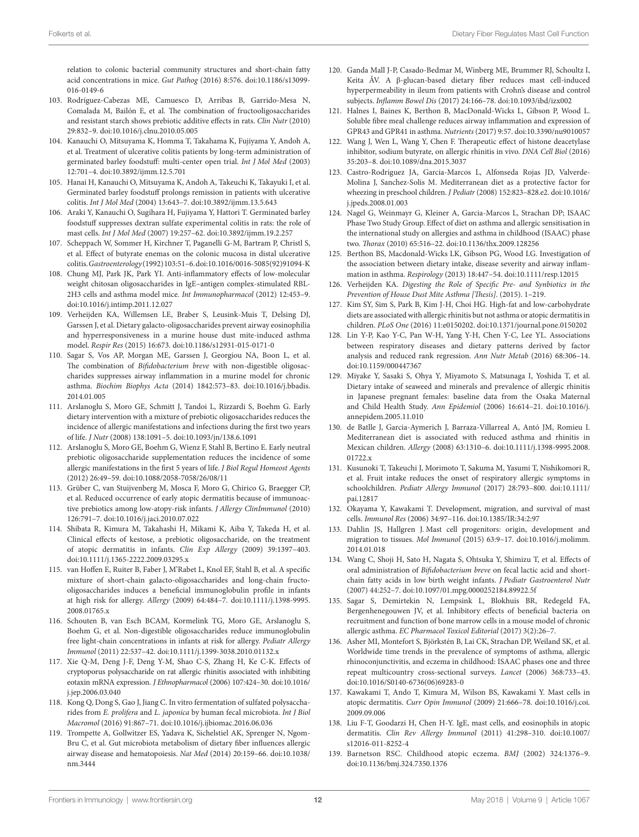<span id="page-11-0"></span>relation to colonic bacterial community structures and short-chain fatty acid concentrations in mice. *Gut Pathog* (2016) 8:576. doi:[10.1186/s13099-](https://doi.org/10.1186/s13099-
016-0149-6) [016-0149-6](https://doi.org/10.1186/s13099-
016-0149-6) 

- 103. Rodríguez-Cabezas ME, Camuesco D, Arribas B, Garrido-Mesa N, Comalada M, Bailón E, et al. The combination of fructooligosaccharides and resistant starch shows prebiotic additive effects in rats. *Clin Nutr* (2010) 29:832–9. doi:[10.1016/j.clnu.2010.05.005](https://doi.org/10.1016/j.clnu.2010.05.005)
- <span id="page-11-1"></span>104. Kanauchi O, Mitsuyama K, Homma T, Takahama K, Fujiyama Y, Andoh A, et al. Treatment of ulcerative colitis patients by long-term administration of germinated barley foodstuff: multi-center open trial. *Int J Mol Med* (2003) 12:701–4. doi:[10.3892/ijmm.12.5.701](https://doi.org/10.3892/ijmm.12.5.701)
- <span id="page-11-2"></span>105. Hanai H, Kanauchi O, Mitsuyama K, Andoh A, Takeuchi K, Takayuki I, et al. Germinated barley foodstuff prolongs remission in patients with ulcerative colitis. *Int J Mol Med* (2004) 13:643–7. doi:[10.3892/ijmm.13.5.643](https://doi.org/10.3892/ijmm.13.5.643)
- <span id="page-11-3"></span>106. Araki Y, Kanauchi O, Sugihara H, Fujiyama Y, Hattori T. Germinated barley foodstuff suppresses dextran sulfate experimental colitis in rats: the role of mast cells. *Int J Mol Med* (2007) 19:257–62. doi[:10.3892/ijmm.19.2.257](https://doi.org/10.3892/ijmm.19.2.257)
- <span id="page-11-4"></span>107. Scheppach W, Sommer H, Kirchner T, Paganelli G-M, Bartram P, Christl S, et al. Effect of butyrate enemas on the colonic mucosa in distal ulcerative colitis. *Gastroenterology* (1992) 103:51–6. doi:[10.1016/0016-5085\(92\)91094-K](https://doi.org/10.1016/0016-5085(92)91094-K)
- <span id="page-11-12"></span>108. Chung MJ, Park JK, Park YI. Anti-inflammatory effects of low-molecular weight chitosan oligosaccharides in IgE–antigen complex-stimulated RBL-2H3 cells and asthma model mice. *Int Immunopharmacol* (2012) 12:453–9. doi:[10.1016/j.intimp.2011.12.027](https://doi.org/10.1016/j.intimp.2011.12.027)
- <span id="page-11-13"></span>109. Verheijden KA, Willemsen LE, Braber S, Leusink-Muis T, Delsing DJ, Garssen J, et al. Dietary galacto-oligosaccharides prevent airway eosinophilia and hyperresponsiveness in a murine house dust mite-induced asthma model. *Respir Res* (2015) 16:673. doi[:10.1186/s12931-015-0171-0](https://doi.org/10.1186/s12931-015-0171-0)
- <span id="page-11-11"></span>110. Sagar S, Vos AP, Morgan ME, Garssen J, Georgiou NA, Boon L, et al. The combination of *Bifidobacterium breve* with non-digestible oligosaccharides suppresses airway inflammation in a murine model for chronic asthma. *Biochim Biophys Acta* (2014) 1842:573–83. doi[:10.1016/j.bbadis.](https://doi.org/10.1016/j.bbadis.
2014.01.005) [2014.01.005](https://doi.org/10.1016/j.bbadis.
2014.01.005)
- <span id="page-11-14"></span>111. Arslanoglu S, Moro GE, Schmitt J, Tandoi L, Rizzardi S, Boehm G. Early dietary intervention with a mixture of prebiotic oligosaccharides reduces the incidence of allergic manifestations and infections during the first two years of life. *J Nutr* (2008) 138:1091–5. doi[:10.1093/jn/138.6.1091](https://doi.org/10.1093/jn/138.6.1091)
- <span id="page-11-35"></span>112. Arslanoglu S, Moro GE, Boehm G, Wienz F, Stahl B, Bertino E. Early neutral prebiotic oligosaccharide supplementation reduces the incidence of some allergic manifestations in the first 5 years of life. *J Biol Regul Homeost Agents* (2012) 26:49–59. doi:[10.1088/2058-7058/26/08/11](https://doi.org/10.1088/2058-7058/26/08/11)
- <span id="page-11-15"></span>113. Grüber C, van Stuijvenberg M, Mosca F, Moro G, Chirico G, Braegger CP, et al. Reduced occurrence of early atopic dermatitis because of immunoactive prebiotics among low-atopy-risk infants. *J Allergy ClinImmunol* (2010) 126:791–7. doi[:10.1016/j.jaci.2010.07.022](https://doi.org/10.1016/j.jaci.2010.07.022)
- <span id="page-11-16"></span>114. Shibata R, Kimura M, Takahashi H, Mikami K, Aiba Y, Takeda H, et al. Clinical effects of kestose, a prebiotic oligosaccharide, on the treatment of atopic dermatitis in infants. *Clin Exp Allergy* (2009) 39:1397–403. doi:[10.1111/j.1365-2222.2009.03295.x](https://doi.org/10.1111/j.1365-2222.2009.03295.x)
- <span id="page-11-17"></span>115. van Hoffen E, Ruiter B, Faber J, M'Rabet L, Knol EF, Stahl B, et al. A specific mixture of short-chain galacto-oligosaccharides and long-chain fructooligosaccharides induces a beneficial immunoglobulin profile in infants at high risk for allergy. *Allergy* (2009) 64:484–7. doi:[10.1111/j.1398-9995.](https://doi.org/10.1111/j.1398-9995.
2008.01765.x) [2008.01765.x](https://doi.org/10.1111/j.1398-9995.
2008.01765.x)
- <span id="page-11-18"></span>116. Schouten B, van Esch BCAM, Kormelink TG, Moro GE, Arslanoglu S, Boehm G, et al. Non-digestible oligosaccharides reduce immunoglobulin free light-chain concentrations in infants at risk for allergy. *Pediatr Allergy Immunol* (2011) 22:537–42. doi[:10.1111/j.1399-3038.2010.01132.x](https://doi.org/10.1111/j.1399-3038.2010.01132.x)
- <span id="page-11-19"></span>117. Xie Q-M, Deng J-F, Deng Y-M, Shao C-S, Zhang H, Ke C-K. Effects of cryptoporus polysaccharide on rat allergic rhinitis associated with inhibiting eotaxin mRNA expression. *J Ethnopharmacol* (2006) 107:424–30. doi[:10.1016/](https://doi.org/10.1016/j.jep.2006.03.040) [j.jep.2006.03.040](https://doi.org/10.1016/j.jep.2006.03.040)
- <span id="page-11-20"></span>118. Kong Q, Dong S, Gao J, Jiang C. In vitro fermentation of sulfated polysaccharides from *E. prolifera* and *L. japonica* by human fecal microbiota. *Int J Biol Macromol* (2016) 91:867–71. doi[:10.1016/j.ijbiomac.2016.06.036](https://doi.org/10.1016/j.ijbiomac.2016.06.036)
- <span id="page-11-21"></span>119. Trompette A, Gollwitzer ES, Yadava K, Sichelstiel AK, Sprenger N, Ngom-Bru C, et al. Gut microbiota metabolism of dietary fiber influences allergic airway disease and hematopoiesis. *Nat Med* (2014) 20:159–66. doi[:10.1038/](https://doi.org/10.1038/nm.3444) [nm.3444](https://doi.org/10.1038/nm.3444)
- <span id="page-11-5"></span>120. Ganda Mall J-P, Casado-Bedmar M, Winberg ME, Brummer RJ, Schoultz I, Keita ÅV. A β-glucan-based dietary fiber reduces mast cell-induced hyperpermeability in ileum from patients with Crohn's disease and control subjects. *Inflamm Bowel Dis* (2017) 24:166–78. doi[:10.1093/ibd/izx002](https://doi.org/10.1093/ibd/izx002)
- <span id="page-11-6"></span>121. Halnes I, Baines K, Berthon B, MacDonald-Wicks L, Gibson P, Wood L. Soluble fibre meal challenge reduces airway inflammation and expression of GPR43 and GPR41 in asthma. *Nutrients* (2017) 9:57. doi:[10.3390/nu9010057](https://doi.org/10.3390/nu9010057)
- <span id="page-11-22"></span>122. Wang J, Wen L, Wang Y, Chen F. Therapeutic effect of histone deacetylase inhibitor, sodium butyrate, on allergic rhinitis in vivo. *DNA Cell Biol* (2016) 35:203–8. doi[:10.1089/dna.2015.3037](https://doi.org/10.1089/dna.2015.3037)
- <span id="page-11-7"></span>123. Castro-Rodriguez JA, Garcia-Marcos L, Alfonseda Rojas JD, Valverde-Molina J, Sanchez-Solis M. Mediterranean diet as a protective factor for wheezing in preschool children. *J Pediatr* (2008) 152:823–828.e2. doi:[10.1016/](https://doi.org/10.1016/j.jpeds.2008.01.003) [j.jpeds.2008.01.003](https://doi.org/10.1016/j.jpeds.2008.01.003)
- <span id="page-11-8"></span>124. Nagel G, Weinmayr G, Kleiner A, Garcia-Marcos L, Strachan DP; ISAAC Phase Two Study Group. Effect of diet on asthma and allergic sensitisation in the international study on allergies and asthma in childhood (ISAAC) phase two. *Thorax* (2010) 65:516–22. doi[:10.1136/thx.2009.128256](https://doi.org/10.1136/thx.2009.128256)
- <span id="page-11-9"></span>125. Berthon BS, Macdonald-Wicks LK, Gibson PG, Wood LG. Investigation of the association between dietary intake, disease severity and airway inflammation in asthma. *Respirology* (2013) 18:447–54. doi:[10.1111/resp.12015](https://doi.org/10.1111/resp.12015)
- <span id="page-11-10"></span>126. Verheijden KA. *Digesting the Role of Specific Pre- and Synbiotics in the Prevention of House Dust Mite Asthma [Thesis]*. (2015). 1–219.
- <span id="page-11-23"></span>127. Kim SY, Sim S, Park B, Kim J-H, Choi HG. High-fat and low-carbohydrate diets are associated with allergic rhinitis but not asthma or atopic dermatitis in children. *PLoS One* (2016) 11:e0150202. doi:[10.1371/journal.pone.0150202](https://doi.org/10.1371/journal.pone.
0150202)
- <span id="page-11-24"></span>128. Lin Y-P, Kao Y-C, Pan W-H, Yang Y-H, Chen Y-C, Lee YL. Associations between respiratory diseases and dietary patterns derived by factor analysis and reduced rank regression. *Ann Nutr Metab* (2016) 68:306–14. doi:[10.1159/000447367](https://doi.org/10.1159/000447367)
- <span id="page-11-25"></span>129. Miyake Y, Sasaki S, Ohya Y, Miyamoto S, Matsunaga I, Yoshida T, et al. Dietary intake of seaweed and minerals and prevalence of allergic rhinitis in Japanese pregnant females: baseline data from the Osaka Maternal and Child Health Study. *Ann Epidemiol* (2006) 16:614–21. doi:[10.1016/j.](https://doi.org/10.1016/j.annepidem.2005.11.010) [annepidem.2005.11.010](https://doi.org/10.1016/j.annepidem.2005.11.010)
- 130. de Batlle J, Garcia-Aymerich J, Barraza-Villarreal A, Antó JM, Romieu I. Mediterranean diet is associated with reduced asthma and rhinitis in Mexican children. *Allergy* (2008) 63:1310–6. doi[:10.1111/j.1398-9995.2008.](https://doi.org/10.1111/j.1398-9995.2008.
01722.x) [01722.x](https://doi.org/10.1111/j.1398-9995.2008.
01722.x)
- <span id="page-11-26"></span>131. Kusunoki T, Takeuchi J, Morimoto T, Sakuma M, Yasumi T, Nishikomori R, et al. Fruit intake reduces the onset of respiratory allergic symptoms in schoolchildren. *Pediatr Allergy Immunol* (2017) 28:793–800. doi[:10.1111/](https://doi.org/10.1111/pai.12817) [pai.12817](https://doi.org/10.1111/pai.12817)
- <span id="page-11-27"></span>132. Okayama Y, Kawakami T. Development, migration, and survival of mast cells. *Immunol Res* (2006) 34:97–116. doi:[10.1385/IR:34:2:97](https://doi.org/10.1385/IR:34:2:97)
- <span id="page-11-28"></span>133. Dahlin JS, Hallgren J. Mast cell progenitors: origin, development and migration to tissues. *Mol Immunol* (2015) 63:9–17. doi:[10.1016/j.molimm.](https://doi.org/10.1016/j.molimm.
2014.01.018) [2014.01.018](https://doi.org/10.1016/j.molimm.
2014.01.018)
- <span id="page-11-29"></span>134. Wang C, Shoji H, Sato H, Nagata S, Ohtsuka Y, Shimizu T, et al. Effects of oral administration of *Bifidobacterium breve* on fecal lactic acid and shortchain fatty acids in low birth weight infants. *J Pediatr Gastroenterol Nutr* (2007) 44:252–7. doi:[10.1097/01.mpg.0000252184.89922.5f](https://doi.org/10.1097/01.mpg.0000252184.89922.5f)
- <span id="page-11-30"></span>135. Sagar S, Demirtekin N, Lempsink L, Blokhuis BR, Redegeld FA, Bergenhenegouwen JV, et al. Inhibitory effects of beneficial bacteria on recruitment and function of bone marrow cells in a mouse model of chronic allergic asthma. *EC Pharmacol Toxicol Editorial* (2017) 3(2):26–7.
- <span id="page-11-31"></span>136. Asher MI, Montefort S, Björkstén B, Lai CK, Strachan DP, Weiland SK, et al. Worldwide time trends in the prevalence of symptoms of asthma, allergic rhinoconjunctivitis, and eczema in childhood: ISAAC phases one and three repeat multicountry cross-sectional surveys. *Lancet* (2006) 368:733–43. doi:[10.1016/S0140-6736\(06\)69283-0](https://doi.org/10.1016/S0140-6736(06)69283-0)
- <span id="page-11-32"></span>137. Kawakami T, Ando T, Kimura M, Wilson BS, Kawakami Y. Mast cells in atopic dermatitis. *Curr Opin Immunol* (2009) 21:666–78. doi:[10.1016/j.coi.](https://doi.org/10.1016/j.coi.2009.09.006) [2009.09.006](https://doi.org/10.1016/j.coi.2009.09.006)
- <span id="page-11-33"></span>138. Liu F-T, Goodarzi H, Chen H-Y. IgE, mast cells, and eosinophils in atopic dermatitis. *Clin Rev Allergy Immunol* (2011) 41:298–310. doi[:10.1007/](https://doi.org/10.1007/s12016-011-8252-4) [s12016-011-8252-4](https://doi.org/10.1007/s12016-011-8252-4)
- <span id="page-11-34"></span>139. Barnetson RSC. Childhood atopic eczema. *BMJ* (2002) 324:1376–9. doi:[10.1136/bmj.324.7350.1376](https://doi.org/10.1136/bmj.324.7350.1376)